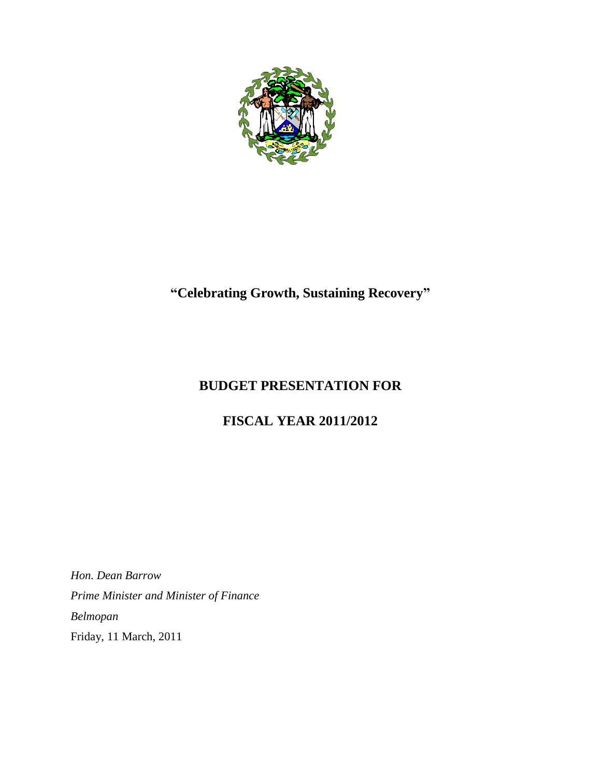

# **"Celebrating Growth, Sustaining Recovery"**

# **BUDGET PRESENTATION FOR**

# **FISCAL YEAR 2011/2012**

*Hon. Dean Barrow Prime Minister and Minister of Finance Belmopan* Friday, 11 March, 2011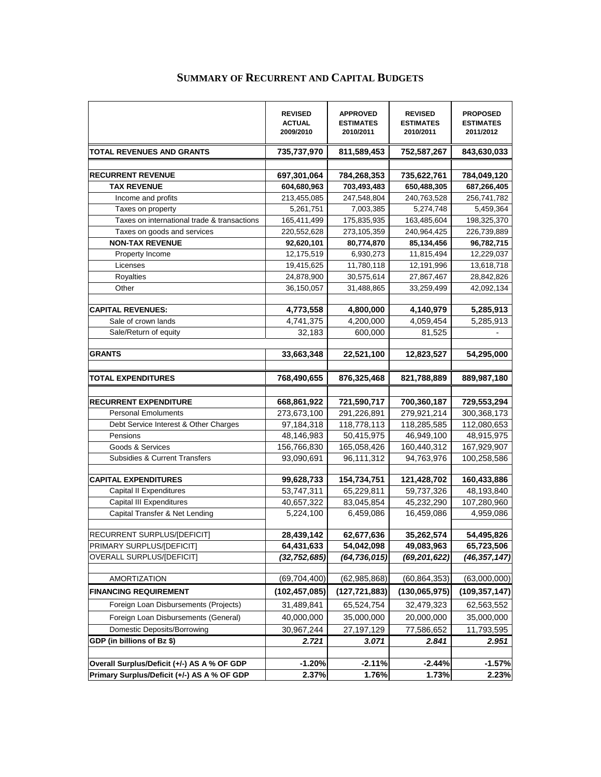|                                             | <b>REVISED</b><br><b>ACTUAL</b><br>2009/2010 | <b>APPROVED</b><br><b>ESTIMATES</b><br>2010/2011 | <b>REVISED</b><br><b>ESTIMATES</b><br>2010/2011 | <b>PROPOSED</b><br><b>ESTIMATES</b><br>2011/2012 |
|---------------------------------------------|----------------------------------------------|--------------------------------------------------|-------------------------------------------------|--------------------------------------------------|
| TOTAL REVENUES AND GRANTS                   | 735,737,970                                  | 811,589,453                                      | 752,587,267                                     | 843,630,033                                      |
|                                             |                                              |                                                  |                                                 |                                                  |
| <b>RECURRENT REVENUE</b>                    | 697,301,064                                  | 784,268,353                                      | 735,622,761                                     | 784,049,120                                      |
| <b>TAX REVENUE</b><br>Income and profits    | 604,680,963<br>213,455,085                   | 703,493,483<br>247,548,804                       | 650,488,305<br>240,763,528                      | 687,266,405<br>256,741,782                       |
| Taxes on property                           | 5,261,751                                    | 7,003,385                                        | 5,274,748                                       | 5,459,364                                        |
| Taxes on international trade & transactions | 165,411,499                                  | 175,835,935                                      | 163,485,604                                     | 198,325,370                                      |
| Taxes on goods and services                 | 220,552,628                                  | 273,105,359                                      | 240,964,425                                     | 226,739,889                                      |
| <b>NON-TAX REVENUE</b>                      | 92,620,101                                   | 80,774,870                                       | 85,134,456                                      | 96,782,715                                       |
| Property Income                             | 12,175,519                                   | 6,930,273                                        | 11,815,494                                      | 12,229,037                                       |
| Licenses                                    | 19,415,625                                   | 11,780,118                                       | 12,191,996                                      | 13,618,718                                       |
| <b>Royalties</b>                            | 24,878,900                                   | 30,575,614                                       | 27,867,467                                      | 28,842,826                                       |
| Other                                       | 36,150,057                                   | 31,488,865                                       | 33,259,499                                      | 42,092,134                                       |
|                                             |                                              |                                                  |                                                 |                                                  |
| <b>CAPITAL REVENUES:</b>                    | 4,773,558                                    | 4,800,000                                        | 4,140,979                                       | 5,285,913                                        |
| Sale of crown lands                         | 4,741,375                                    | 4,200,000                                        | 4,059,454                                       | 5,285,913                                        |
| Sale/Return of equity                       | 32,183                                       | 600,000                                          | 81,525                                          |                                                  |
|                                             |                                              |                                                  |                                                 |                                                  |
| <b>GRANTS</b>                               | 33,663,348                                   | 22,521,100                                       | 12,823,527                                      | 54,295,000                                       |
|                                             |                                              |                                                  |                                                 |                                                  |
| <b>TOTAL EXPENDITURES</b>                   | 768,490,655                                  | 876,325,468                                      | 821,788,889                                     | 889,987,180                                      |
|                                             |                                              |                                                  |                                                 |                                                  |
| <b>RECURRENT EXPENDITURE</b>                | 668,861,922                                  | 721,590,717                                      | 700,360,187                                     | 729,553,294                                      |
| <b>Personal Emoluments</b>                  | 273,673,100                                  | 291,226,891                                      | 279,921,214                                     | 300,368,173                                      |
| Debt Service Interest & Other Charges       | 97,184,318                                   | 118,778,113                                      | 118,285,585                                     | 112,080,653                                      |
| Pensions                                    | 48,146,983                                   | 50,415,975                                       | 46,949,100                                      | 48,915,975                                       |
| Goods & Services                            | 156,766,830                                  | 165,058,426                                      | 160,440,312                                     | 167,929,907                                      |
| Subsidies & Current Transfers               | 93,090,691                                   | 96,111,312                                       | 94,763,976                                      | 100,258,586                                      |
|                                             |                                              |                                                  |                                                 |                                                  |
| <b>CAPITAL EXPENDITURES</b>                 | 99,628,733                                   | 154,734,751                                      | 121,428,702                                     | 160,433,886                                      |
| Capital II Expenditures                     | 53,747,311                                   | 65,229,811                                       | 59,737,326                                      | 48,193,840                                       |
| <b>Capital III Expenditures</b>             | 40,657,322                                   | 83,045,854                                       | 45,232,290                                      | 107,280,960                                      |
| Capital Transfer & Net Lending              | 5,224,100                                    | 6,459,086                                        | 16,459,086                                      | 4,959,086                                        |
|                                             |                                              |                                                  |                                                 |                                                  |
| RECURRENT SURPLUS/[DEFICIT]                 | 28,439,142                                   | 62,677,636                                       | 35,262,574                                      | 54,495,826                                       |
| PRIMARY SURPLUS/[DEFICIT]                   | 64,431,633                                   | 54,042,098                                       | 49,083,963                                      | 65,723,506                                       |
| OVERALL SURPLUS/[DEFICIT]                   | (32,752,685)                                 | (64, 736, 015)                                   | (69, 201, 622)                                  | (46, 357, 147)                                   |
|                                             |                                              |                                                  |                                                 |                                                  |
| AMORTIZATION                                | (69, 704, 400)                               | (62, 985, 868)                                   | (60, 864, 353)                                  | (63,000,000)                                     |
| <b>FINANCING REQUIREMENT</b>                | (102, 457, 085)                              | (127, 721, 883)                                  | (130,065,975)                                   | (109, 357, 147)                                  |
| Foreign Loan Disbursements (Projects)       | 31,489,841                                   | 65,524,754                                       | 32,479,323                                      | 62,563,552                                       |
| Foreign Loan Disbursements (General)        | 40,000,000                                   | 35,000,000                                       | 20,000,000                                      | 35,000,000                                       |
| Domestic Deposits/Borrowing                 | 30,967,244                                   | 27,197,129                                       | 77,586,652                                      | 11,793,595                                       |
| GDP (in billions of Bz \$)                  | 2.721                                        | 3.071                                            | 2.841                                           | 2.951                                            |
|                                             |                                              |                                                  |                                                 |                                                  |
| Overall Surplus/Deficit (+/-) AS A % OF GDP | $-1.20%$                                     | $-2.11%$                                         | $-2.44%$                                        | $-1.57%$                                         |
| Primary Surplus/Deficit (+/-) AS A % OF GDP | 2.37%                                        | 1.76%                                            | 1.73%                                           | 2.23%                                            |
|                                             |                                              |                                                  |                                                 |                                                  |

# **SUMMARY OF RECURRENT AND CAPITAL BUDGETS**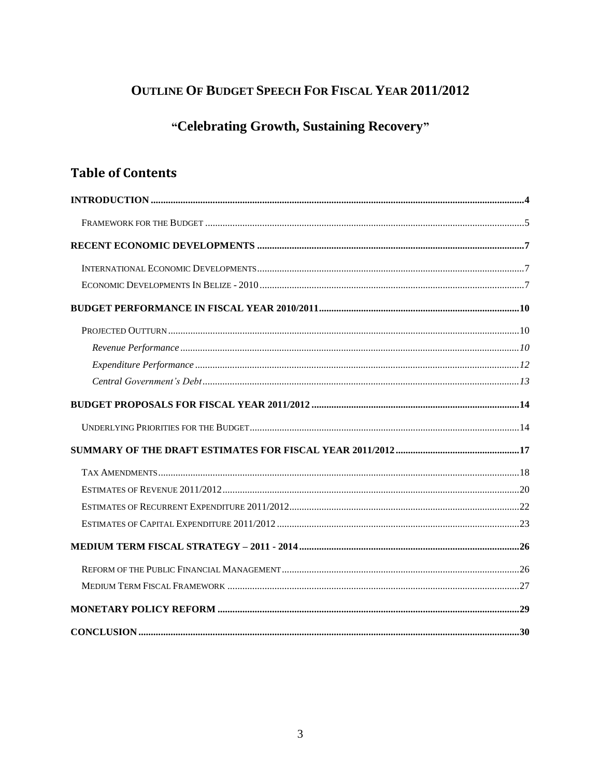# **OUTLINE OF BUDGET SPEECH FOR FISCAL YEAR 2011/2012**

# "Celebrating Growth, Sustaining Recovery"

# **Table of Contents**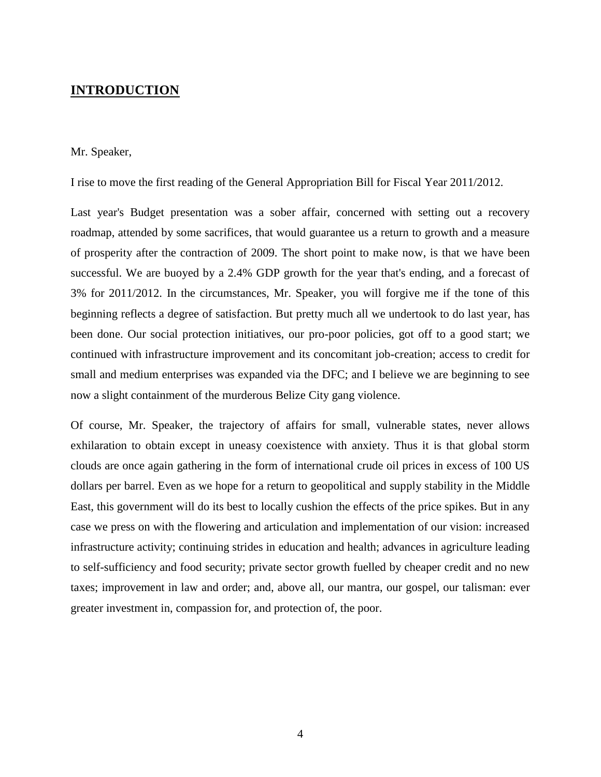## <span id="page-3-0"></span>**INTRODUCTION**

#### Mr. Speaker,

I rise to move the first reading of the General Appropriation Bill for Fiscal Year 2011/2012.

Last year's Budget presentation was a sober affair, concerned with setting out a recovery roadmap, attended by some sacrifices, that would guarantee us a return to growth and a measure of prosperity after the contraction of 2009. The short point to make now, is that we have been successful. We are buoyed by a 2.4% GDP growth for the year that's ending, and a forecast of 3% for 2011/2012. In the circumstances, Mr. Speaker, you will forgive me if the tone of this beginning reflects a degree of satisfaction. But pretty much all we undertook to do last year, has been done. Our social protection initiatives, our pro-poor policies, got off to a good start; we continued with infrastructure improvement and its concomitant job-creation; access to credit for small and medium enterprises was expanded via the DFC; and I believe we are beginning to see now a slight containment of the murderous Belize City gang violence.

Of course, Mr. Speaker, the trajectory of affairs for small, vulnerable states, never allows exhilaration to obtain except in uneasy coexistence with anxiety. Thus it is that global storm clouds are once again gathering in the form of international crude oil prices in excess of 100 US dollars per barrel. Even as we hope for a return to geopolitical and supply stability in the Middle East, this government will do its best to locally cushion the effects of the price spikes. But in any case we press on with the flowering and articulation and implementation of our vision: increased infrastructure activity; continuing strides in education and health; advances in agriculture leading to self-sufficiency and food security; private sector growth fuelled by cheaper credit and no new taxes; improvement in law and order; and, above all, our mantra, our gospel, our talisman: ever greater investment in, compassion for, and protection of, the poor.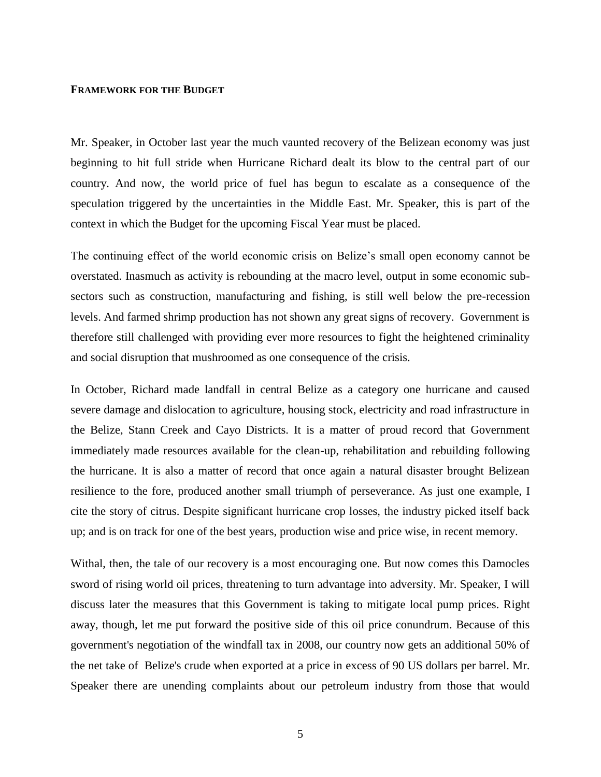### **FRAMEWORK FOR THE BUDGET**

Mr. Speaker, in October last year the much vaunted recovery of the Belizean economy was just beginning to hit full stride when Hurricane Richard dealt its blow to the central part of our country. And now, the world price of fuel has begun to escalate as a consequence of the speculation triggered by the uncertainties in the Middle East. Mr. Speaker, this is part of the context in which the Budget for the upcoming Fiscal Year must be placed.

The continuing effect of the world economic crisis on Belize's small open economy cannot be overstated. Inasmuch as activity is rebounding at the macro level, output in some economic subsectors such as construction, manufacturing and fishing, is still well below the pre-recession levels. And farmed shrimp production has not shown any great signs of recovery. Government is therefore still challenged with providing ever more resources to fight the heightened criminality and social disruption that mushroomed as one consequence of the crisis.

In October, Richard made landfall in central Belize as a category one hurricane and caused severe damage and dislocation to agriculture, housing stock, electricity and road infrastructure in the Belize, Stann Creek and Cayo Districts. It is a matter of proud record that Government immediately made resources available for the clean-up, rehabilitation and rebuilding following the hurricane. It is also a matter of record that once again a natural disaster brought Belizean resilience to the fore, produced another small triumph of perseverance. As just one example, I cite the story of citrus. Despite significant hurricane crop losses, the industry picked itself back up; and is on track for one of the best years, production wise and price wise, in recent memory.

Withal, then, the tale of our recovery is a most encouraging one. But now comes this Damocles sword of rising world oil prices, threatening to turn advantage into adversity. Mr. Speaker, I will discuss later the measures that this Government is taking to mitigate local pump prices. Right away, though, let me put forward the positive side of this oil price conundrum. Because of this government's negotiation of the windfall tax in 2008, our country now gets an additional 50% of the net take of Belize's crude when exported at a price in excess of 90 US dollars per barrel. Mr. Speaker there are unending complaints about our petroleum industry from those that would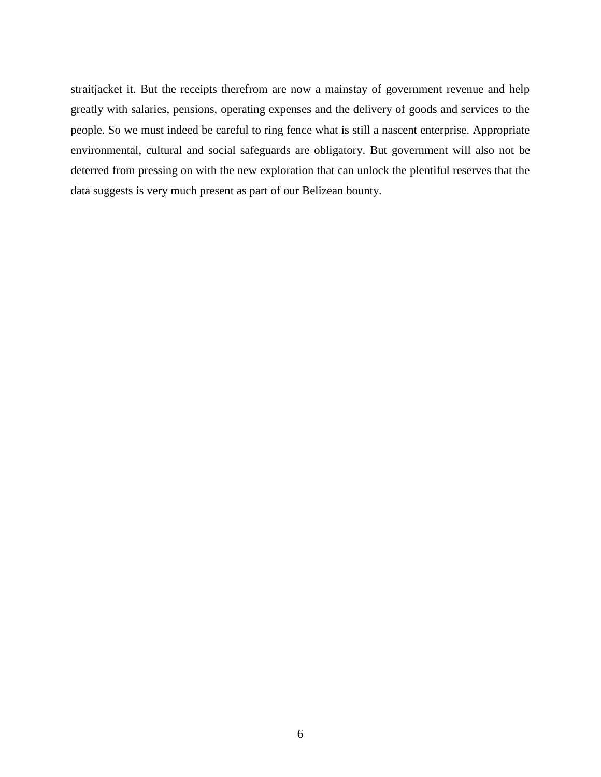straitjacket it. But the receipts therefrom are now a mainstay of government revenue and help greatly with salaries, pensions, operating expenses and the delivery of goods and services to the people. So we must indeed be careful to ring fence what is still a nascent enterprise. Appropriate environmental, cultural and social safeguards are obligatory. But government will also not be deterred from pressing on with the new exploration that can unlock the plentiful reserves that the data suggests is very much present as part of our Belizean bounty.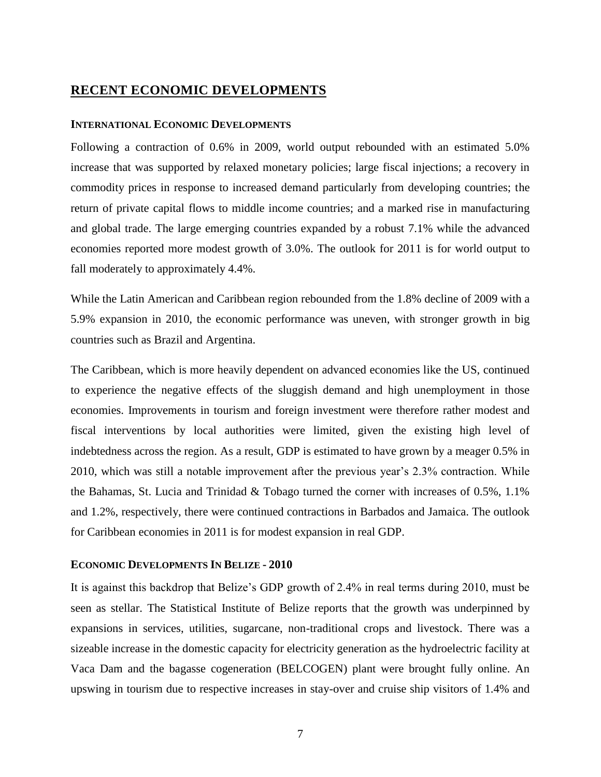## <span id="page-6-0"></span>**RECENT ECONOMIC DEVELOPMENTS**

#### <span id="page-6-1"></span>**INTERNATIONAL ECONOMIC DEVELOPMENTS**

<span id="page-6-2"></span>Following a contraction of 0.6% in 2009, world output rebounded with an estimated 5.0% increase that was supported by relaxed monetary policies; large fiscal injections; a recovery in commodity prices in response to increased demand particularly from developing countries; the return of private capital flows to middle income countries; and a marked rise in manufacturing and global trade. The large emerging countries expanded by a robust 7.1% while the advanced economies reported more modest growth of 3.0%. The outlook for 2011 is for world output to fall moderately to approximately 4.4%.

While the Latin American and Caribbean region rebounded from the 1.8% decline of 2009 with a 5.9% expansion in 2010, the economic performance was uneven, with stronger growth in big countries such as Brazil and Argentina.

The Caribbean, which is more heavily dependent on advanced economies like the US, continued to experience the negative effects of the sluggish demand and high unemployment in those economies. Improvements in tourism and foreign investment were therefore rather modest and fiscal interventions by local authorities were limited, given the existing high level of indebtedness across the region. As a result, GDP is estimated to have grown by a meager 0.5% in 2010, which was still a notable improvement after the previous year's 2.3% contraction. While the Bahamas, St. Lucia and Trinidad & Tobago turned the corner with increases of 0.5%, 1.1% and 1.2%, respectively, there were continued contractions in Barbados and Jamaica. The outlook for Caribbean economies in 2011 is for modest expansion in real GDP.

#### **ECONOMIC DEVELOPMENTS IN BELIZE - 2010**

It is against this backdrop that Belize's GDP growth of 2.4% in real terms during 2010, must be seen as stellar. The Statistical Institute of Belize reports that the growth was underpinned by expansions in services, utilities, sugarcane, non-traditional crops and livestock. There was a sizeable increase in the domestic capacity for electricity generation as the hydroelectric facility at Vaca Dam and the bagasse cogeneration (BELCOGEN) plant were brought fully online. An upswing in tourism due to respective increases in stay-over and cruise ship visitors of 1.4% and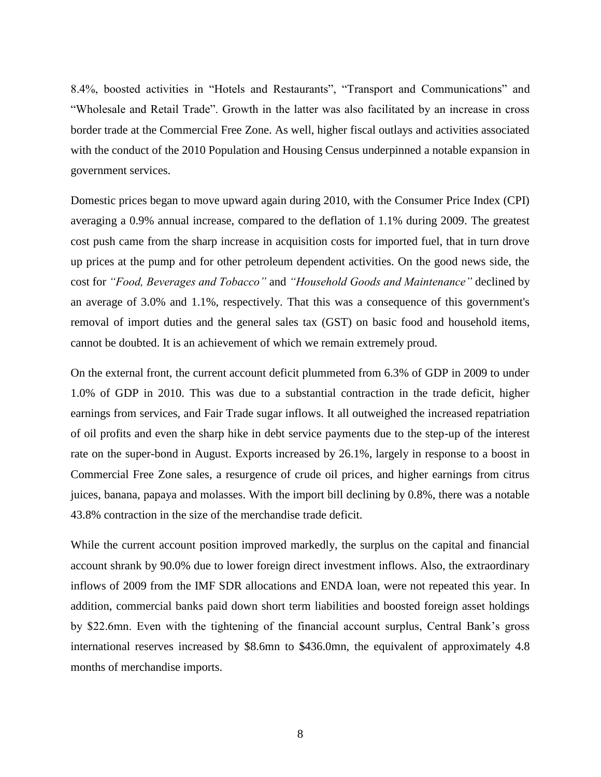8.4%, boosted activities in "Hotels and Restaurants", "Transport and Communications" and "Wholesale and Retail Trade". Growth in the latter was also facilitated by an increase in cross border trade at the Commercial Free Zone. As well, higher fiscal outlays and activities associated with the conduct of the 2010 Population and Housing Census underpinned a notable expansion in government services.

Domestic prices began to move upward again during 2010, with the Consumer Price Index (CPI) averaging a 0.9% annual increase, compared to the deflation of 1.1% during 2009. The greatest cost push came from the sharp increase in acquisition costs for imported fuel, that in turn drove up prices at the pump and for other petroleum dependent activities. On the good news side, the cost for *"Food, Beverages and Tobacco"* and *"Household Goods and Maintenance"* declined by an average of 3.0% and 1.1%, respectively. That this was a consequence of this government's removal of import duties and the general sales tax (GST) on basic food and household items, cannot be doubted. It is an achievement of which we remain extremely proud.

On the external front, the current account deficit plummeted from 6.3% of GDP in 2009 to under 1.0% of GDP in 2010. This was due to a substantial contraction in the trade deficit, higher earnings from services, and Fair Trade sugar inflows. It all outweighed the increased repatriation of oil profits and even the sharp hike in debt service payments due to the step-up of the interest rate on the super-bond in August. Exports increased by 26.1%, largely in response to a boost in Commercial Free Zone sales, a resurgence of crude oil prices, and higher earnings from citrus juices, banana, papaya and molasses. With the import bill declining by 0.8%, there was a notable 43.8% contraction in the size of the merchandise trade deficit.

While the current account position improved markedly, the surplus on the capital and financial account shrank by 90.0% due to lower foreign direct investment inflows. Also, the extraordinary inflows of 2009 from the IMF SDR allocations and ENDA loan, were not repeated this year. In addition, commercial banks paid down short term liabilities and boosted foreign asset holdings by \$22.6mn. Even with the tightening of the financial account surplus, Central Bank's gross international reserves increased by \$8.6mn to \$436.0mn, the equivalent of approximately 4.8 months of merchandise imports.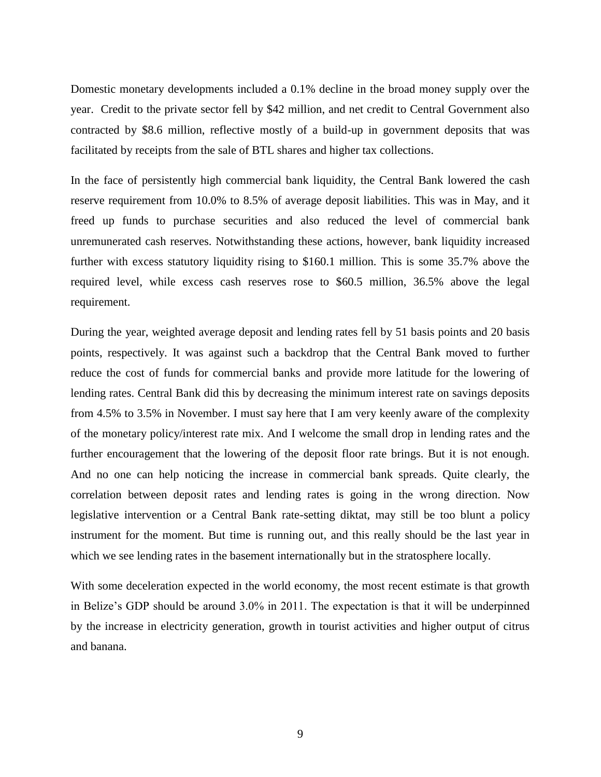Domestic monetary developments included a 0.1% decline in the broad money supply over the year. Credit to the private sector fell by \$42 million, and net credit to Central Government also contracted by \$8.6 million, reflective mostly of a build-up in government deposits that was facilitated by receipts from the sale of BTL shares and higher tax collections.

In the face of persistently high commercial bank liquidity, the Central Bank lowered the cash reserve requirement from 10.0% to 8.5% of average deposit liabilities. This was in May, and it freed up funds to purchase securities and also reduced the level of commercial bank unremunerated cash reserves. Notwithstanding these actions, however, bank liquidity increased further with excess statutory liquidity rising to \$160.1 million. This is some 35.7% above the required level, while excess cash reserves rose to \$60.5 million, 36.5% above the legal requirement.

During the year, weighted average deposit and lending rates fell by 51 basis points and 20 basis points, respectively. It was against such a backdrop that the Central Bank moved to further reduce the cost of funds for commercial banks and provide more latitude for the lowering of lending rates. Central Bank did this by decreasing the minimum interest rate on savings deposits from 4.5% to 3.5% in November. I must say here that I am very keenly aware of the complexity of the monetary policy/interest rate mix. And I welcome the small drop in lending rates and the further encouragement that the lowering of the deposit floor rate brings. But it is not enough. And no one can help noticing the increase in commercial bank spreads. Quite clearly, the correlation between deposit rates and lending rates is going in the wrong direction. Now legislative intervention or a Central Bank rate-setting diktat, may still be too blunt a policy instrument for the moment. But time is running out, and this really should be the last year in which we see lending rates in the basement internationally but in the stratosphere locally.

With some deceleration expected in the world economy, the most recent estimate is that growth in Belize's GDP should be around 3.0% in 2011. The expectation is that it will be underpinned by the increase in electricity generation, growth in tourist activities and higher output of citrus and banana.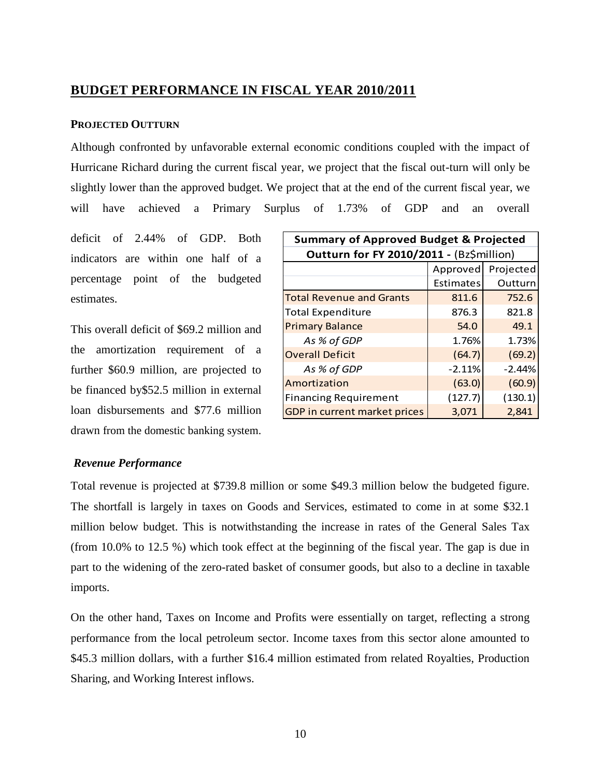# <span id="page-9-0"></span>**BUDGET PERFORMANCE IN FISCAL YEAR 2010/2011**

### <span id="page-9-1"></span>**PROJECTED OUTTURN**

Although confronted by unfavorable external economic conditions coupled with the impact of Hurricane Richard during the current fiscal year, we project that the fiscal out-turn will only be slightly lower than the approved budget. We project that at the end of the current fiscal year, we will have achieved a Primary Surplus of 1.73% of GDP and an overall

deficit of 2.44% of GDP. Both indicators are within one half of a percentage point of the budgeted estimates.

This overall deficit of \$69.2 million and the amortization requirement of a further \$60.9 million, are projected to be financed by\$52.5 million in external loan disbursements and \$77.6 million drawn from the domestic banking system.

| <b>Summary of Approved Budget &amp; Projected</b> |                  |          |  |  |
|---------------------------------------------------|------------------|----------|--|--|
| Outturn for FY 2010/2011 - (Bz\$million)          |                  |          |  |  |
| Projected<br>Approved                             |                  |          |  |  |
|                                                   | <b>Estimates</b> | Outturn  |  |  |
| <b>Total Revenue and Grants</b>                   | 811.6            | 752.6    |  |  |
| <b>Total Expenditure</b>                          | 876.3            | 821.8    |  |  |
| <b>Primary Balance</b>                            | 54.0             | 49.1     |  |  |
| As % of GDP                                       | 1.76%            | 1.73%    |  |  |
| <b>Overall Deficit</b>                            | (64.7)           | (69.2)   |  |  |
| As % of GDP                                       | $-2.11%$         | $-2.44%$ |  |  |
| Amortization                                      | (63.0)           | (60.9)   |  |  |
| <b>Financing Requirement</b>                      | (127.7)          | (130.1)  |  |  |
| GDP in current market prices                      | 3,071            | 2,841    |  |  |

#### <span id="page-9-2"></span>*Revenue Performance*

Total revenue is projected at \$739.8 million or some \$49.3 million below the budgeted figure. The shortfall is largely in taxes on Goods and Services, estimated to come in at some \$32.1 million below budget. This is notwithstanding the increase in rates of the General Sales Tax (from 10.0% to 12.5 %) which took effect at the beginning of the fiscal year. The gap is due in part to the widening of the zero-rated basket of consumer goods, but also to a decline in taxable imports.

On the other hand, Taxes on Income and Profits were essentially on target, reflecting a strong performance from the local petroleum sector. Income taxes from this sector alone amounted to \$45.3 million dollars, with a further \$16.4 million estimated from related Royalties, Production Sharing, and Working Interest inflows.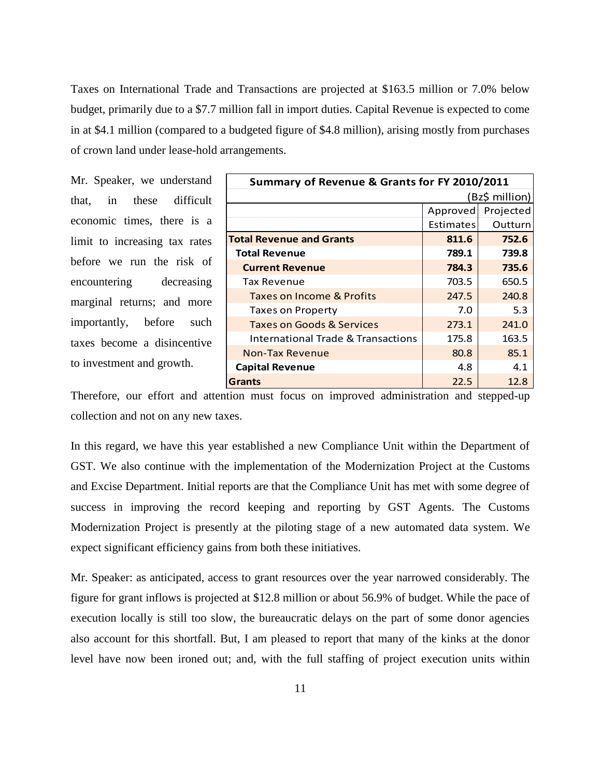Taxes on International Trade and Transactions are projected at \$163.5 million or 7.0% below budget, primarily due to a \$7.7 million fall in import duties. Capital Revenue is expected to come in at \$4.1 million (compared to a budgeted figure of \$4.8 million), arising mostly from purchases of crown land under lease-hold arrangements.

Mr. Speaker, we understand that, in these difficult economic times, there is a limit to increasing tax rates before we run the risk of encountering decreasing marginal returns; and more importantly, before such taxes become a disincentive to investment and growth.

| Summary of Revenue & Grants for FY 2010/2011  |                  |           |  |  |
|-----------------------------------------------|------------------|-----------|--|--|
|                                               | (Bz\$ million)   |           |  |  |
|                                               | Approved         | Projected |  |  |
|                                               | <b>Estimates</b> | Outturn   |  |  |
| <b>Total Revenue and Grants</b>               | 811.6            | 752.6     |  |  |
| <b>Total Revenue</b>                          | 789.1            | 739.8     |  |  |
| <b>Current Revenue</b>                        | 784.3            | 735.6     |  |  |
| <b>Tax Revenue</b>                            | 703.5            | 650.5     |  |  |
| Taxes on Income & Profits                     | 247.5            | 240.8     |  |  |
| <b>Taxes on Property</b>                      | 7.0              | 5.3       |  |  |
| <b>Taxes on Goods &amp; Services</b>          | 273.1            | 241.0     |  |  |
| <b>International Trade &amp; Transactions</b> | 175.8            | 163.5     |  |  |
| Non-Tax Revenue                               | 80.8             | 85.1      |  |  |
| <b>Capital Revenue</b><br>4.8                 |                  | 4.1       |  |  |
| <b>Grants</b>                                 | 22.5             | 12.8      |  |  |

Therefore, our effort and attention must focus on improved administration and stepped-up collection and not on any new taxes.

In this regard, we have this year established a new Compliance Unit within the Department of GST. We also continue with the implementation of the Modernization Project at the Customs and Excise Department. Initial reports are that the Compliance Unit has met with some degree of success in improving the record keeping and reporting by GST Agents. The Customs Modernization Project is presently at the piloting stage of a new automated data system. We expect significant efficiency gains from both these initiatives.

Mr. Speaker: as anticipated, access to grant resources over the year narrowed considerably. The figure for grant inflows is projected at \$12.8 million or about 56.9% of budget. While the pace of execution locally is still too slow, the bureaucratic delays on the part of some donor agencies also account for this shortfall. But, I am pleased to report that many of the kinks at the donor level have now been ironed out; and, with the full staffing of project execution units within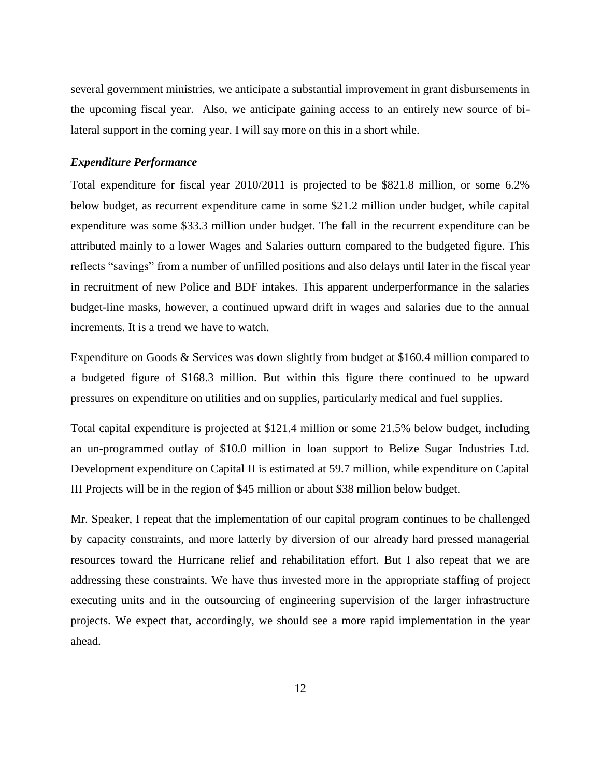several government ministries, we anticipate a substantial improvement in grant disbursements in the upcoming fiscal year. Also, we anticipate gaining access to an entirely new source of bilateral support in the coming year. I will say more on this in a short while.

#### <span id="page-11-0"></span>*Expenditure Performance*

Total expenditure for fiscal year 2010/2011 is projected to be \$821.8 million, or some 6.2% below budget, as recurrent expenditure came in some \$21.2 million under budget, while capital expenditure was some \$33.3 million under budget. The fall in the recurrent expenditure can be attributed mainly to a lower Wages and Salaries outturn compared to the budgeted figure. This reflects "savings" from a number of unfilled positions and also delays until later in the fiscal year in recruitment of new Police and BDF intakes. This apparent underperformance in the salaries budget-line masks, however, a continued upward drift in wages and salaries due to the annual increments. It is a trend we have to watch.

Expenditure on Goods & Services was down slightly from budget at \$160.4 million compared to a budgeted figure of \$168.3 million. But within this figure there continued to be upward pressures on expenditure on utilities and on supplies, particularly medical and fuel supplies.

Total capital expenditure is projected at \$121.4 million or some 21.5% below budget, including an un-programmed outlay of \$10.0 million in loan support to Belize Sugar Industries Ltd. Development expenditure on Capital II is estimated at 59.7 million, while expenditure on Capital III Projects will be in the region of \$45 million or about \$38 million below budget.

Mr. Speaker, I repeat that the implementation of our capital program continues to be challenged by capacity constraints, and more latterly by diversion of our already hard pressed managerial resources toward the Hurricane relief and rehabilitation effort. But I also repeat that we are addressing these constraints. We have thus invested more in the appropriate staffing of project executing units and in the outsourcing of engineering supervision of the larger infrastructure projects. We expect that, accordingly, we should see a more rapid implementation in the year ahead.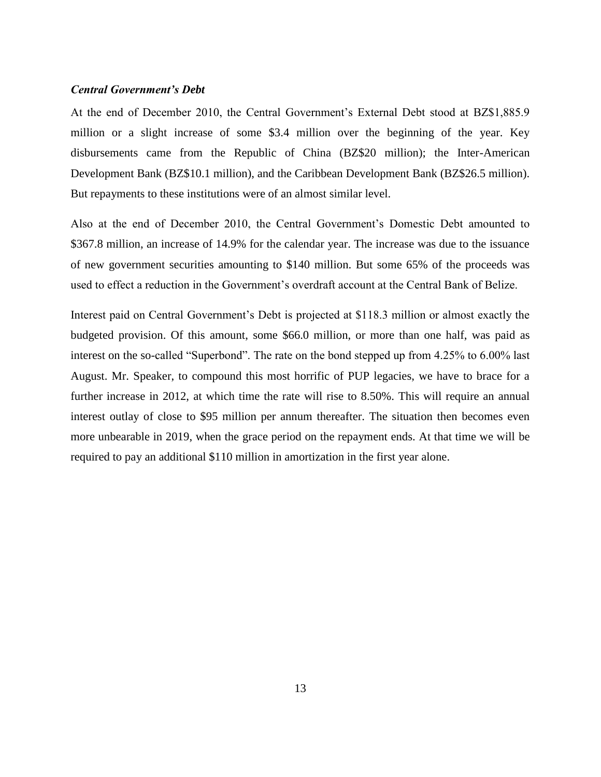#### <span id="page-12-0"></span>*Central Government's Debt*

At the end of December 2010, the Central Government's External Debt stood at BZ\$1,885.9 million or a slight increase of some \$3.4 million over the beginning of the year. Key disbursements came from the Republic of China (BZ\$20 million); the Inter-American Development Bank (BZ\$10.1 million), and the Caribbean Development Bank (BZ\$26.5 million). But repayments to these institutions were of an almost similar level.

Also at the end of December 2010, the Central Government's Domestic Debt amounted to \$367.8 million, an increase of 14.9% for the calendar year. The increase was due to the issuance of new government securities amounting to \$140 million. But some 65% of the proceeds was used to effect a reduction in the Government's overdraft account at the Central Bank of Belize.

<span id="page-12-1"></span>Interest paid on Central Government's Debt is projected at \$118.3 million or almost exactly the budgeted provision. Of this amount, some \$66.0 million, or more than one half, was paid as interest on the so-called "Superbond". The rate on the bond stepped up from 4.25% to 6.00% last August. Mr. Speaker, to compound this most horrific of PUP legacies, we have to brace for a further increase in 2012, at which time the rate will rise to 8.50%. This will require an annual interest outlay of close to \$95 million per annum thereafter. The situation then becomes even more unbearable in 2019, when the grace period on the repayment ends. At that time we will be required to pay an additional \$110 million in amortization in the first year alone.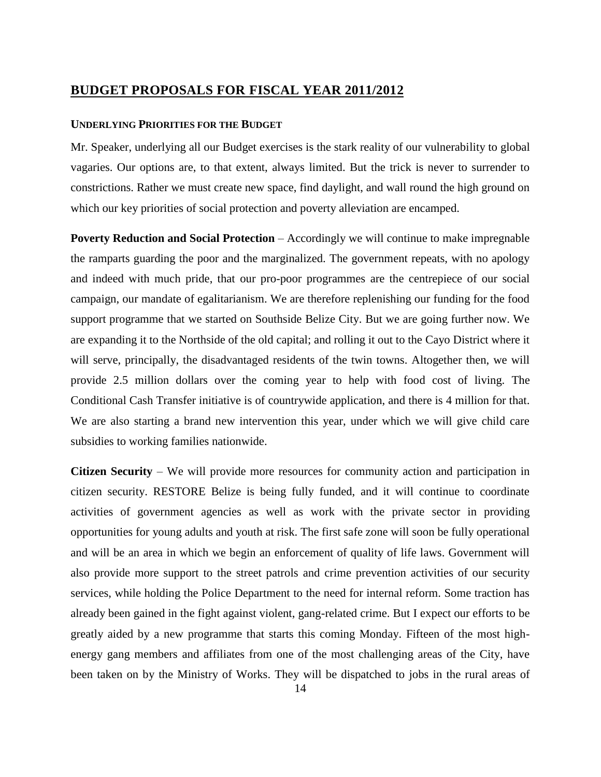## **BUDGET PROPOSALS FOR FISCAL YEAR 2011/2012**

#### <span id="page-13-0"></span>**UNDERLYING PRIORITIES FOR THE BUDGET**

Mr. Speaker, underlying all our Budget exercises is the stark reality of our vulnerability to global vagaries. Our options are, to that extent, always limited. But the trick is never to surrender to constrictions. Rather we must create new space, find daylight, and wall round the high ground on which our key priorities of social protection and poverty alleviation are encamped.

**Poverty Reduction and Social Protection** – Accordingly we will continue to make impregnable the ramparts guarding the poor and the marginalized. The government repeats, with no apology and indeed with much pride, that our pro-poor programmes are the centrepiece of our social campaign, our mandate of egalitarianism. We are therefore replenishing our funding for the food support programme that we started on Southside Belize City. But we are going further now. We are expanding it to the Northside of the old capital; and rolling it out to the Cayo District where it will serve, principally, the disadvantaged residents of the twin towns. Altogether then, we will provide 2.5 million dollars over the coming year to help with food cost of living. The Conditional Cash Transfer initiative is of countrywide application, and there is 4 million for that. We are also starting a brand new intervention this year, under which we will give child care subsidies to working families nationwide.

**Citizen Security** – We will provide more resources for community action and participation in citizen security. RESTORE Belize is being fully funded, and it will continue to coordinate activities of government agencies as well as work with the private sector in providing opportunities for young adults and youth at risk. The first safe zone will soon be fully operational and will be an area in which we begin an enforcement of quality of life laws. Government will also provide more support to the street patrols and crime prevention activities of our security services, while holding the Police Department to the need for internal reform. Some traction has already been gained in the fight against violent, gang-related crime. But I expect our efforts to be greatly aided by a new programme that starts this coming Monday. Fifteen of the most highenergy gang members and affiliates from one of the most challenging areas of the City, have been taken on by the Ministry of Works. They will be dispatched to jobs in the rural areas of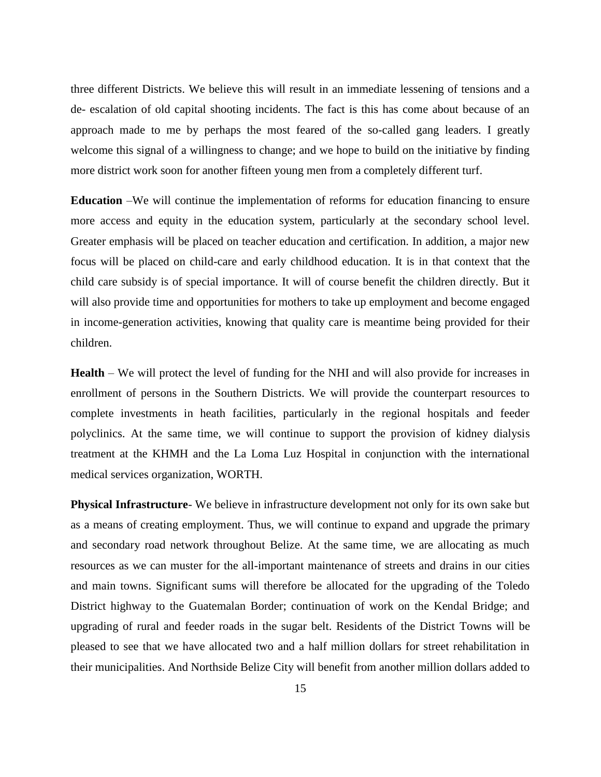three different Districts. We believe this will result in an immediate lessening of tensions and a de- escalation of old capital shooting incidents. The fact is this has come about because of an approach made to me by perhaps the most feared of the so-called gang leaders. I greatly welcome this signal of a willingness to change; and we hope to build on the initiative by finding more district work soon for another fifteen young men from a completely different turf.

**Education** –We will continue the implementation of reforms for education financing to ensure more access and equity in the education system, particularly at the secondary school level. Greater emphasis will be placed on teacher education and certification. In addition, a major new focus will be placed on child-care and early childhood education. It is in that context that the child care subsidy is of special importance. It will of course benefit the children directly. But it will also provide time and opportunities for mothers to take up employment and become engaged in income-generation activities, knowing that quality care is meantime being provided for their children.

**Health** – We will protect the level of funding for the NHI and will also provide for increases in enrollment of persons in the Southern Districts. We will provide the counterpart resources to complete investments in heath facilities, particularly in the regional hospitals and feeder polyclinics. At the same time, we will continue to support the provision of kidney dialysis treatment at the KHMH and the La Loma Luz Hospital in conjunction with the international medical services organization, WORTH.

**Physical Infrastructure**- We believe in infrastructure development not only for its own sake but as a means of creating employment. Thus, we will continue to expand and upgrade the primary and secondary road network throughout Belize. At the same time, we are allocating as much resources as we can muster for the all-important maintenance of streets and drains in our cities and main towns. Significant sums will therefore be allocated for the upgrading of the Toledo District highway to the Guatemalan Border; continuation of work on the Kendal Bridge; and upgrading of rural and feeder roads in the sugar belt. Residents of the District Towns will be pleased to see that we have allocated two and a half million dollars for street rehabilitation in their municipalities. And Northside Belize City will benefit from another million dollars added to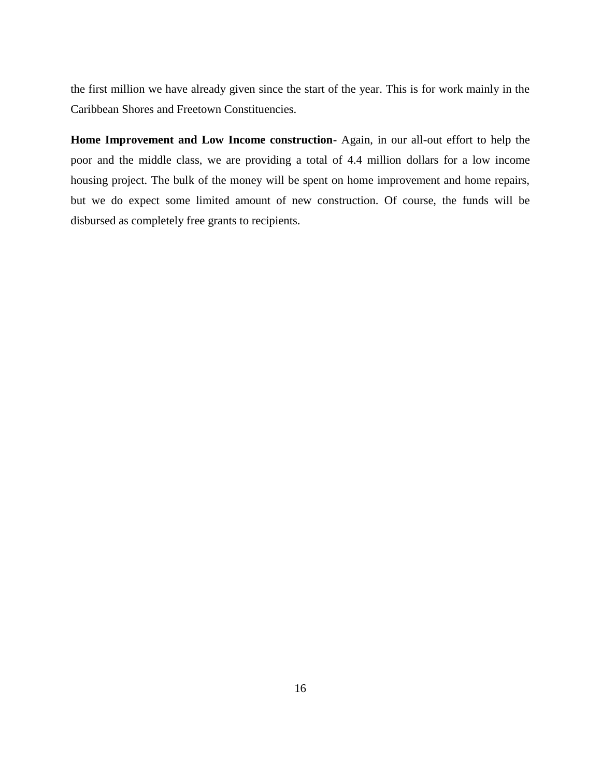the first million we have already given since the start of the year. This is for work mainly in the Caribbean Shores and Freetown Constituencies.

**Home Improvement and Low Income construction-** Again, in our all-out effort to help the poor and the middle class, we are providing a total of 4.4 million dollars for a low income housing project. The bulk of the money will be spent on home improvement and home repairs, but we do expect some limited amount of new construction. Of course, the funds will be disbursed as completely free grants to recipients.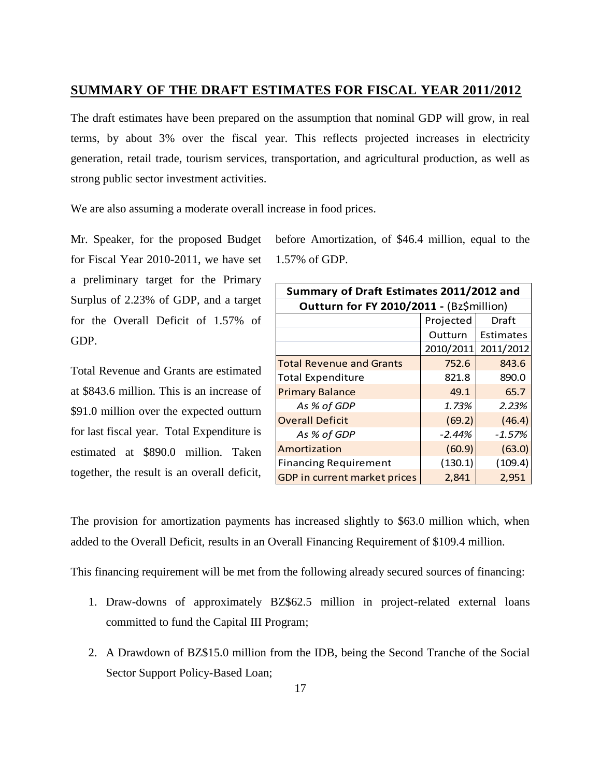### <span id="page-16-0"></span>**SUMMARY OF THE DRAFT ESTIMATES FOR FISCAL YEAR 2011/2012**

The draft estimates have been prepared on the assumption that nominal GDP will grow, in real terms, by about 3% over the fiscal year. This reflects projected increases in electricity generation, retail trade, tourism services, transportation, and agricultural production, as well as strong public sector investment activities.

We are also assuming a moderate overall increase in food prices.

Mr. Speaker, for the proposed Budget for Fiscal Year 2010-2011, we have set a preliminary target for the Primary Surplus of 2.23% of GDP, and a target for the Overall Deficit of 1.57% of GDP.

Total Revenue and Grants are estimated at \$843.6 million. This is an increase of \$91.0 million over the expected outturn for last fiscal year. Total Expenditure is estimated at \$890.0 million. Taken together, the result is an overall deficit,

before Amortization, of \$46.4 million, equal to the 1.57% of GDP.

| Summary of Draft Estimates 2011/2012 and       |                                          |           |  |  |  |
|------------------------------------------------|------------------------------------------|-----------|--|--|--|
|                                                | Outturn for FY 2010/2011 - (Bz\$million) |           |  |  |  |
| Projected<br>Draft                             |                                          |           |  |  |  |
|                                                | Outturn                                  | Estimates |  |  |  |
|                                                | 2010/2011                                | 2011/2012 |  |  |  |
| <b>Total Revenue and Grants</b>                | 752.6                                    | 843.6     |  |  |  |
| <b>Total Expenditure</b>                       | 821.8                                    | 890.0     |  |  |  |
| <b>Primary Balance</b>                         | 49.1                                     | 65.7      |  |  |  |
| As % of GDP                                    | 1.73%                                    | 2.23%     |  |  |  |
| <b>Overall Deficit</b>                         | (69.2)                                   | (46.4)    |  |  |  |
| As % of GDP                                    | $-2.44%$                                 | $-1.57%$  |  |  |  |
| Amortization                                   | (60.9)                                   | (63.0)    |  |  |  |
| <b>Financing Requirement</b>                   | (130.1)                                  | (109.4)   |  |  |  |
| GDP in current market prices<br>2,951<br>2.841 |                                          |           |  |  |  |

The provision for amortization payments has increased slightly to \$63.0 million which, when added to the Overall Deficit, results in an Overall Financing Requirement of \$109.4 million.

This financing requirement will be met from the following already secured sources of financing:

- 1. Draw-downs of approximately BZ\$62.5 million in project-related external loans committed to fund the Capital III Program;
- 2. A Drawdown of BZ\$15.0 million from the IDB, being the Second Tranche of the Social Sector Support Policy-Based Loan;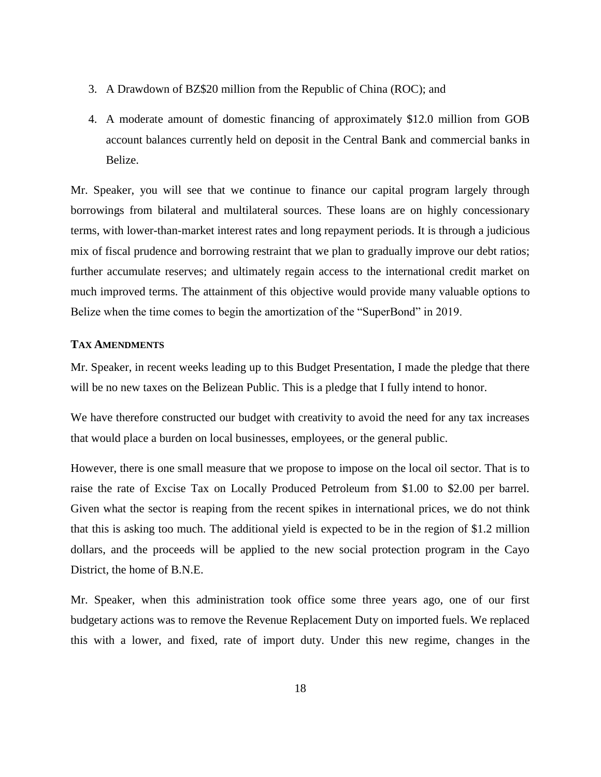- 3. A Drawdown of BZ\$20 million from the Republic of China (ROC); and
- 4. A moderate amount of domestic financing of approximately \$12.0 million from GOB account balances currently held on deposit in the Central Bank and commercial banks in Belize.

<span id="page-17-0"></span>Mr. Speaker, you will see that we continue to finance our capital program largely through borrowings from bilateral and multilateral sources. These loans are on highly concessionary terms, with lower-than-market interest rates and long repayment periods. It is through a judicious mix of fiscal prudence and borrowing restraint that we plan to gradually improve our debt ratios; further accumulate reserves; and ultimately regain access to the international credit market on much improved terms. The attainment of this objective would provide many valuable options to Belize when the time comes to begin the amortization of the "SuperBond" in 2019.

#### **TAX AMENDMENTS**

Mr. Speaker, in recent weeks leading up to this Budget Presentation, I made the pledge that there will be no new taxes on the Belizean Public. This is a pledge that I fully intend to honor.

We have therefore constructed our budget with creativity to avoid the need for any tax increases that would place a burden on local businesses, employees, or the general public.

However, there is one small measure that we propose to impose on the local oil sector. That is to raise the rate of Excise Tax on Locally Produced Petroleum from \$1.00 to \$2.00 per barrel. Given what the sector is reaping from the recent spikes in international prices, we do not think that this is asking too much. The additional yield is expected to be in the region of \$1.2 million dollars, and the proceeds will be applied to the new social protection program in the Cayo District, the home of B.N.E.

Mr. Speaker, when this administration took office some three years ago, one of our first budgetary actions was to remove the Revenue Replacement Duty on imported fuels. We replaced this with a lower, and fixed, rate of import duty. Under this new regime, changes in the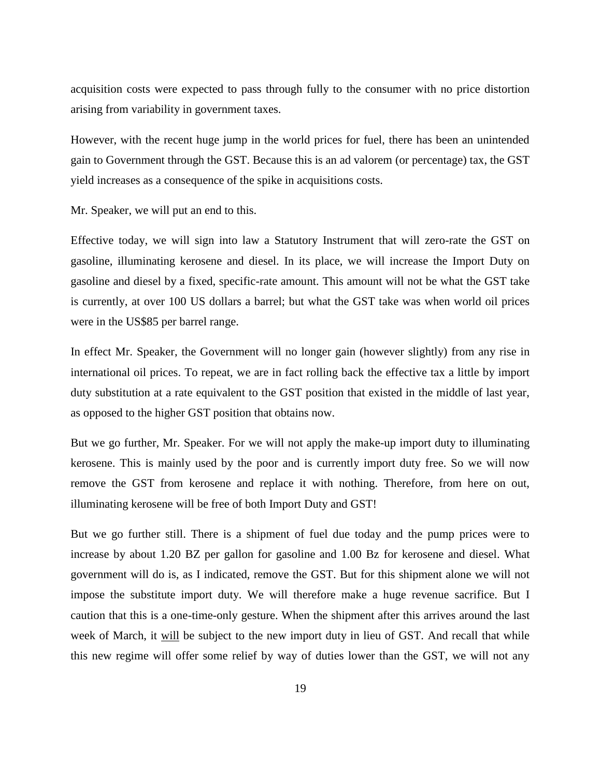acquisition costs were expected to pass through fully to the consumer with no price distortion arising from variability in government taxes.

However, with the recent huge jump in the world prices for fuel, there has been an unintended gain to Government through the GST. Because this is an ad valorem (or percentage) tax, the GST yield increases as a consequence of the spike in acquisitions costs.

Mr. Speaker, we will put an end to this.

Effective today, we will sign into law a Statutory Instrument that will zero-rate the GST on gasoline, illuminating kerosene and diesel. In its place, we will increase the Import Duty on gasoline and diesel by a fixed, specific-rate amount. This amount will not be what the GST take is currently, at over 100 US dollars a barrel; but what the GST take was when world oil prices were in the US\$85 per barrel range.

In effect Mr. Speaker, the Government will no longer gain (however slightly) from any rise in international oil prices. To repeat, we are in fact rolling back the effective tax a little by import duty substitution at a rate equivalent to the GST position that existed in the middle of last year, as opposed to the higher GST position that obtains now.

But we go further, Mr. Speaker. For we will not apply the make-up import duty to illuminating kerosene. This is mainly used by the poor and is currently import duty free. So we will now remove the GST from kerosene and replace it with nothing. Therefore, from here on out, illuminating kerosene will be free of both Import Duty and GST!

But we go further still. There is a shipment of fuel due today and the pump prices were to increase by about 1.20 BZ per gallon for gasoline and 1.00 Bz for kerosene and diesel. What government will do is, as I indicated, remove the GST. But for this shipment alone we will not impose the substitute import duty. We will therefore make a huge revenue sacrifice. But I caution that this is a one-time-only gesture. When the shipment after this arrives around the last week of March, it will be subject to the new import duty in lieu of GST. And recall that while this new regime will offer some relief by way of duties lower than the GST, we will not any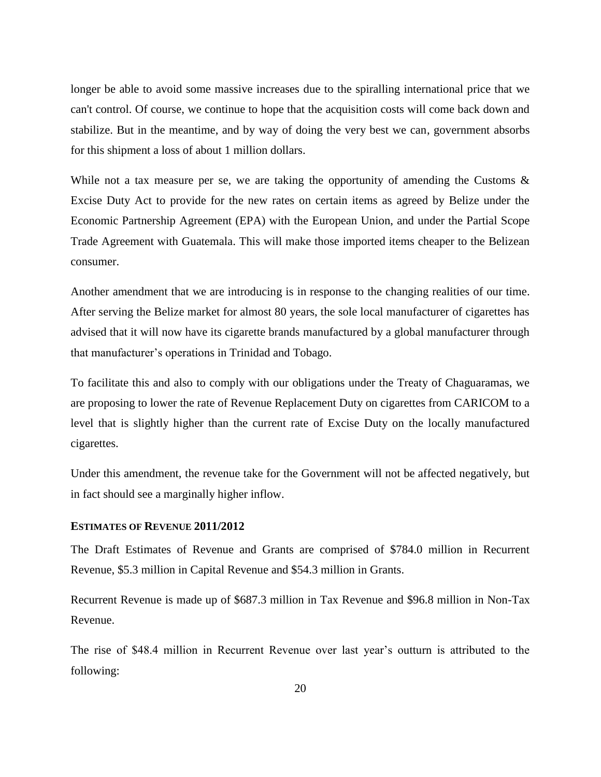longer be able to avoid some massive increases due to the spiralling international price that we can't control. Of course, we continue to hope that the acquisition costs will come back down and stabilize. But in the meantime, and by way of doing the very best we can, government absorbs for this shipment a loss of about 1 million dollars.

While not a tax measure per se, we are taking the opportunity of amending the Customs  $\&$ Excise Duty Act to provide for the new rates on certain items as agreed by Belize under the Economic Partnership Agreement (EPA) with the European Union, and under the Partial Scope Trade Agreement with Guatemala. This will make those imported items cheaper to the Belizean consumer.

Another amendment that we are introducing is in response to the changing realities of our time. After serving the Belize market for almost 80 years, the sole local manufacturer of cigarettes has advised that it will now have its cigarette brands manufactured by a global manufacturer through that manufacturer's operations in Trinidad and Tobago.

To facilitate this and also to comply with our obligations under the Treaty of Chaguaramas, we are proposing to lower the rate of Revenue Replacement Duty on cigarettes from CARICOM to a level that is slightly higher than the current rate of Excise Duty on the locally manufactured cigarettes.

Under this amendment, the revenue take for the Government will not be affected negatively, but in fact should see a marginally higher inflow.

### <span id="page-19-0"></span>**ESTIMATES OF REVENUE 2011/2012**

The Draft Estimates of Revenue and Grants are comprised of \$784.0 million in Recurrent Revenue, \$5.3 million in Capital Revenue and \$54.3 million in Grants.

Recurrent Revenue is made up of \$687.3 million in Tax Revenue and \$96.8 million in Non-Tax Revenue.

The rise of \$48.4 million in Recurrent Revenue over last year's outturn is attributed to the following: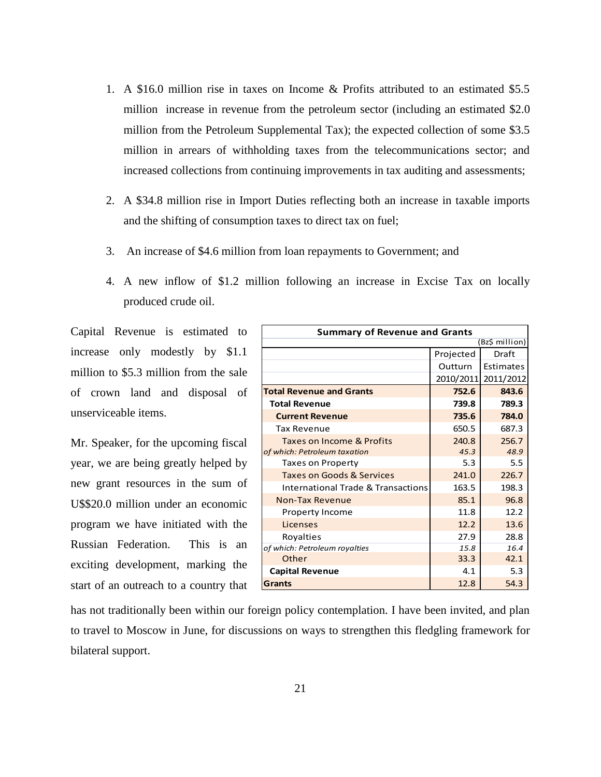- 1. A \$16.0 million rise in taxes on Income & Profits attributed to an estimated \$5.5 million increase in revenue from the petroleum sector (including an estimated \$2.0 million from the Petroleum Supplemental Tax); the expected collection of some \$3.5 million in arrears of withholding taxes from the telecommunications sector; and increased collections from continuing improvements in tax auditing and assessments;
- 2. A \$34.8 million rise in Import Duties reflecting both an increase in taxable imports and the shifting of consumption taxes to direct tax on fuel;
- 3. An increase of \$4.6 million from loan repayments to Government; and
- 4. A new inflow of \$1.2 million following an increase in Excise Tax on locally produced crude oil.

Capital Revenue is estimated to increase only modestly by \$1.1 million to \$5.3 million from the sale of crown land and disposal of unserviceable items.

Mr. Speaker, for the upcoming fiscal year, we are being greatly helped by new grant resources in the sum of U\$\$20.0 million under an economic program we have initiated with the Russian Federation. This is an exciting development, marking the start of an outreach to a country that

| <b>Summary of Revenue and Grants</b> |           |           |  |  |
|--------------------------------------|-----------|-----------|--|--|
| (Bz\$ million)                       |           |           |  |  |
|                                      | Projected | Draft     |  |  |
|                                      | Outturn   | Estimates |  |  |
|                                      | 2010/2011 | 2011/2012 |  |  |
| <b>Total Revenue and Grants</b>      | 752.6     | 843.6     |  |  |
| <b>Total Revenue</b>                 | 739.8     | 789.3     |  |  |
| <b>Current Revenue</b>               | 735.6     | 784.0     |  |  |
| <b>Tax Revenue</b>                   | 650.5     | 687.3     |  |  |
| <b>Taxes on Income &amp; Profits</b> | 240.8     | 256.7     |  |  |
| of which: Petroleum taxation         | 45.3      | 48.9      |  |  |
| <b>Taxes on Property</b>             | 5.3       | 5.5       |  |  |
| Taxes on Goods & Services            | 241.0     | 226.7     |  |  |
| International Trade & Transactions   | 163.5     | 198.3     |  |  |
| <b>Non-Tax Revenue</b>               | 85.1      | 96.8      |  |  |
| Property Income                      | 11.8      | 12.2      |  |  |
| Licenses                             | 12.2      | 13.6      |  |  |
| Royalties                            | 27.9      | 28.8      |  |  |
| of which: Petroleum royalties        | 15.8      | 16.4      |  |  |
| Other                                | 33.3      | 42.1      |  |  |
| <b>Capital Revenue</b>               | 4.1       | 5.3       |  |  |
| <b>Grants</b>                        | 12.8      | 54.3      |  |  |

has not traditionally been within our foreign policy contemplation. I have been invited, and plan to travel to Moscow in June, for discussions on ways to strengthen this fledgling framework for bilateral support.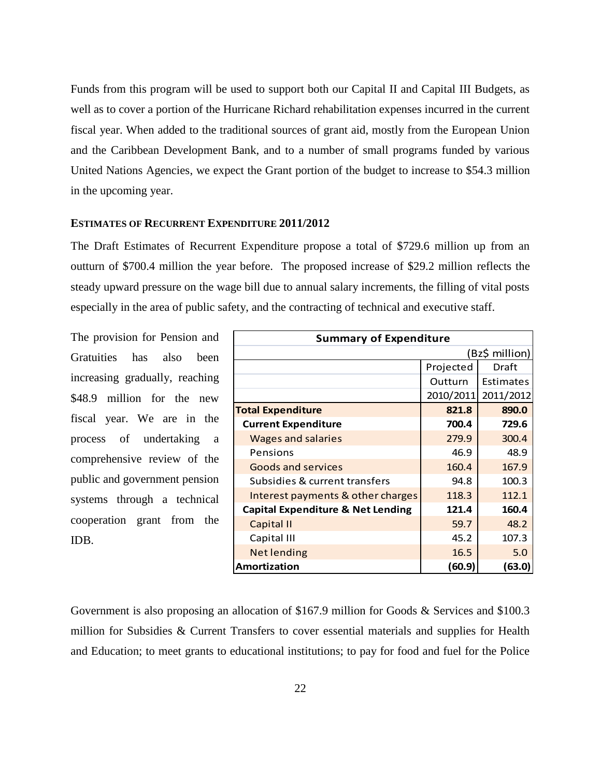Funds from this program will be used to support both our Capital II and Capital III Budgets, as well as to cover a portion of the Hurricane Richard rehabilitation expenses incurred in the current fiscal year. When added to the traditional sources of grant aid, mostly from the European Union and the Caribbean Development Bank, and to a number of small programs funded by various United Nations Agencies, we expect the Grant portion of the budget to increase to \$54.3 million in the upcoming year.

#### <span id="page-21-0"></span>**ESTIMATES OF RECURRENT EXPENDITURE 2011/2012**

The Draft Estimates of Recurrent Expenditure propose a total of \$729.6 million up from an outturn of \$700.4 million the year before. The proposed increase of \$29.2 million reflects the steady upward pressure on the wage bill due to annual salary increments, the filling of vital posts especially in the area of public safety, and the contracting of technical and executive staff.

The provision for Pension and Gratuities has also been increasing gradually, reaching \$48.9 million for the new fiscal year. We are in the process of undertaking a comprehensive review of the public and government pension systems through a technical cooperation grant from the IDB.

| <b>Summary of Expenditure</b>                |           |                |  |  |
|----------------------------------------------|-----------|----------------|--|--|
|                                              |           | (Bz\$ million) |  |  |
|                                              | Projected | Draft          |  |  |
|                                              | Outturn   | Estimates      |  |  |
|                                              | 2010/2011 | 2011/2012      |  |  |
| <b>Total Expenditure</b>                     | 821.8     | 890.0          |  |  |
| <b>Current Expenditure</b>                   | 700.4     | 729.6          |  |  |
| <b>Wages and salaries</b>                    | 279.9     | 300.4          |  |  |
| Pensions                                     | 46.9      | 48.9           |  |  |
| <b>Goods and services</b>                    | 160.4     | 167.9          |  |  |
| Subsidies & current transfers                | 94.8      | 100.3          |  |  |
| Interest payments & other charges            | 118.3     | 112.1          |  |  |
| <b>Capital Expenditure &amp; Net Lending</b> | 121.4     | 160.4          |  |  |
| Capital II                                   | 59.7      | 48.2           |  |  |
| Capital III                                  | 45.2      | 107.3          |  |  |
| <b>Net lending</b>                           | 16.5      | 5.0            |  |  |
| Amortization<br>(60.9)<br>(63.0)             |           |                |  |  |

Government is also proposing an allocation of \$167.9 million for Goods & Services and \$100.3 million for Subsidies & Current Transfers to cover essential materials and supplies for Health and Education; to meet grants to educational institutions; to pay for food and fuel for the Police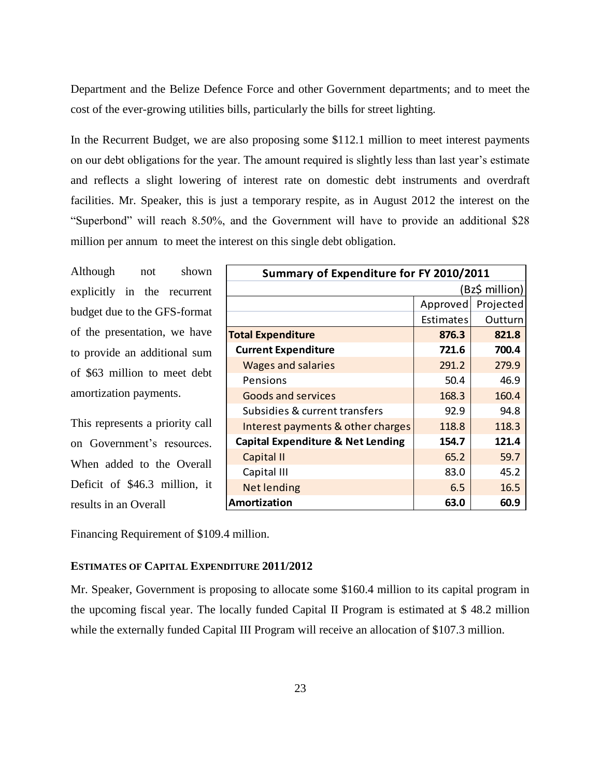Department and the Belize Defence Force and other Government departments; and to meet the cost of the ever-growing utilities bills, particularly the bills for street lighting.

In the Recurrent Budget, we are also proposing some \$112.1 million to meet interest payments on our debt obligations for the year. The amount required is slightly less than last year's estimate and reflects a slight lowering of interest rate on domestic debt instruments and overdraft facilities. Mr. Speaker, this is just a temporary respite, as in August 2012 the interest on the "Superbond" will reach 8.50%, and the Government will have to provide an additional \$28 million per annum to meet the interest on this single debt obligation.

Although not shown explicitly in the recurrent budget due to the GFS-format of the presentation, we have to provide an additional sum of \$63 million to meet debt amortization payments.

This represents a priority call on Government's resources. When added to the Overall Deficit of \$46.3 million, it results in an Overall

Financing Requirement of \$109.4 million.

#### <span id="page-22-0"></span>**ESTIMATES OF CAPITAL EXPENDITURE 2011/2012**

Mr. Speaker, Government is proposing to allocate some \$160.4 million to its capital program in the upcoming fiscal year. The locally funded Capital II Program is estimated at \$ 48.2 million while the externally funded Capital III Program will receive an allocation of \$107.3 million.

| Summary of Expenditure for FY 2010/2011      |                       |         |  |  |
|----------------------------------------------|-----------------------|---------|--|--|
| (Bz\$ million)                               |                       |         |  |  |
|                                              | Projected<br>Approved |         |  |  |
|                                              | Estimates             | Outturn |  |  |
| <b>Total Expenditure</b>                     | 876.3                 | 821.8   |  |  |
| <b>Current Expenditure</b>                   | 721.6                 | 700.4   |  |  |
| <b>Wages and salaries</b>                    | 291.2                 | 279.9   |  |  |
| Pensions                                     | 50.4                  | 46.9    |  |  |
| Goods and services                           | 168.3                 | 160.4   |  |  |
| Subsidies & current transfers                | 92.9                  | 94.8    |  |  |
| Interest payments & other charges            | 118.8                 | 118.3   |  |  |
| <b>Capital Expenditure &amp; Net Lending</b> | 154.7                 | 121.4   |  |  |
| Capital II                                   | 65.2                  | 59.7    |  |  |
| Capital III                                  | 83.0                  | 45.2    |  |  |
| <b>Net lending</b>                           | 6.5                   | 16.5    |  |  |
| Amortization                                 | 63.0                  | 60.9    |  |  |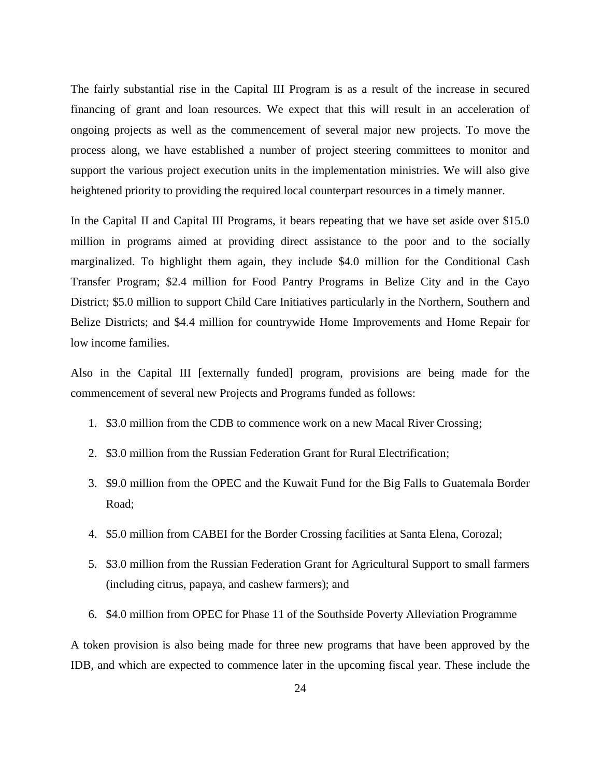The fairly substantial rise in the Capital III Program is as a result of the increase in secured financing of grant and loan resources. We expect that this will result in an acceleration of ongoing projects as well as the commencement of several major new projects. To move the process along, we have established a number of project steering committees to monitor and support the various project execution units in the implementation ministries. We will also give heightened priority to providing the required local counterpart resources in a timely manner.

In the Capital II and Capital III Programs, it bears repeating that we have set aside over \$15.0 million in programs aimed at providing direct assistance to the poor and to the socially marginalized. To highlight them again, they include \$4.0 million for the Conditional Cash Transfer Program; \$2.4 million for Food Pantry Programs in Belize City and in the Cayo District; \$5.0 million to support Child Care Initiatives particularly in the Northern, Southern and Belize Districts; and \$4.4 million for countrywide Home Improvements and Home Repair for low income families.

Also in the Capital III [externally funded] program, provisions are being made for the commencement of several new Projects and Programs funded as follows:

- 1. \$3.0 million from the CDB to commence work on a new Macal River Crossing;
- 2. \$3.0 million from the Russian Federation Grant for Rural Electrification;
- 3. \$9.0 million from the OPEC and the Kuwait Fund for the Big Falls to Guatemala Border Road;
- 4. \$5.0 million from CABEI for the Border Crossing facilities at Santa Elena, Corozal;
- 5. \$3.0 million from the Russian Federation Grant for Agricultural Support to small farmers (including citrus, papaya, and cashew farmers); and
- 6. \$4.0 million from OPEC for Phase 11 of the Southside Poverty Alleviation Programme

A token provision is also being made for three new programs that have been approved by the IDB, and which are expected to commence later in the upcoming fiscal year. These include the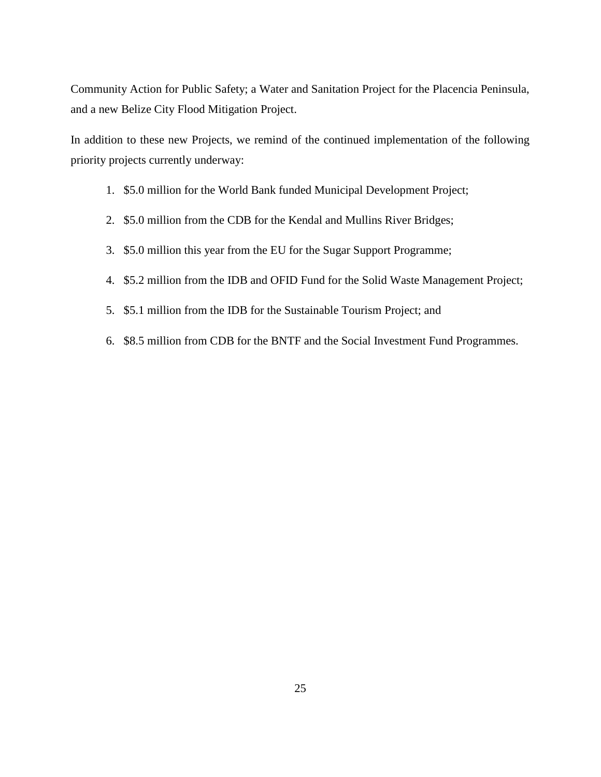Community Action for Public Safety; a Water and Sanitation Project for the Placencia Peninsula, and a new Belize City Flood Mitigation Project.

In addition to these new Projects, we remind of the continued implementation of the following priority projects currently underway:

- 1. \$5.0 million for the World Bank funded Municipal Development Project;
- 2. \$5.0 million from the CDB for the Kendal and Mullins River Bridges;
- 3. \$5.0 million this year from the EU for the Sugar Support Programme;
- 4. \$5.2 million from the IDB and OFID Fund for the Solid Waste Management Project;
- 5. \$5.1 million from the IDB for the Sustainable Tourism Project; and
- <span id="page-24-0"></span>6. \$8.5 million from CDB for the BNTF and the Social Investment Fund Programmes.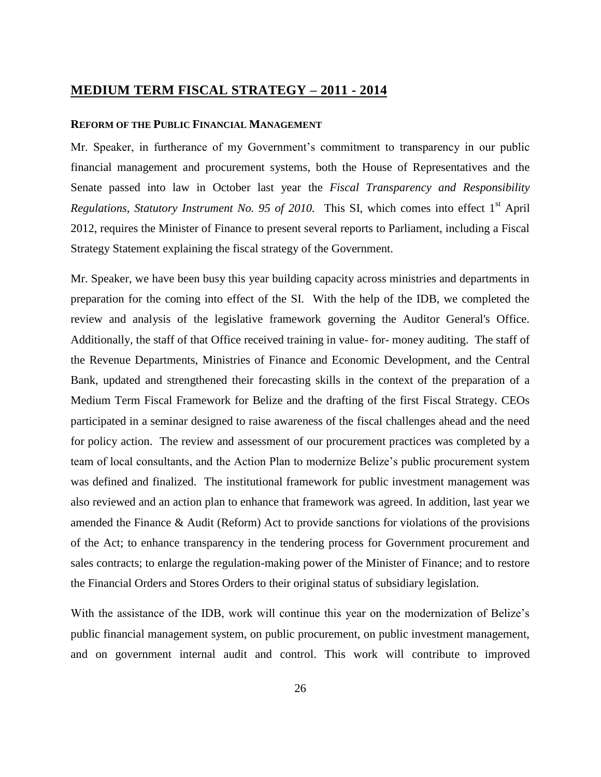## **MEDIUM TERM FISCAL STRATEGY – 2011 - 2014**

#### <span id="page-25-0"></span>**REFORM OF THE PUBLIC FINANCIAL MANAGEMENT**

<span id="page-25-1"></span>Mr. Speaker, in furtherance of my Government's commitment to transparency in our public financial management and procurement systems, both the House of Representatives and the Senate passed into law in October last year the *Fiscal Transparency and Responsibility Regulations, Statutory Instrument No. 95 of 2010.* This SI, which comes into effect 1<sup>st</sup> April 2012, requires the Minister of Finance to present several reports to Parliament, including a Fiscal Strategy Statement explaining the fiscal strategy of the Government.

Mr. Speaker, we have been busy this year building capacity across ministries and departments in preparation for the coming into effect of the SI. With the help of the IDB, we completed the review and analysis of the legislative framework governing the Auditor General's Office. Additionally, the staff of that Office received training in value- for- money auditing. The staff of the Revenue Departments, Ministries of Finance and Economic Development, and the Central Bank, updated and strengthened their forecasting skills in the context of the preparation of a Medium Term Fiscal Framework for Belize and the drafting of the first Fiscal Strategy. CEOs participated in a seminar designed to raise awareness of the fiscal challenges ahead and the need for policy action. The review and assessment of our procurement practices was completed by a team of local consultants, and the Action Plan to modernize Belize's public procurement system was defined and finalized. The institutional framework for public investment management was also reviewed and an action plan to enhance that framework was agreed. In addition, last year we amended the Finance & Audit (Reform) Act to provide sanctions for violations of the provisions of the Act; to enhance transparency in the tendering process for Government procurement and sales contracts; to enlarge the regulation-making power of the Minister of Finance; and to restore the Financial Orders and Stores Orders to their original status of subsidiary legislation.

With the assistance of the IDB, work will continue this year on the modernization of Belize's public financial management system, on public procurement, on public investment management, and on government internal audit and control. This work will contribute to improved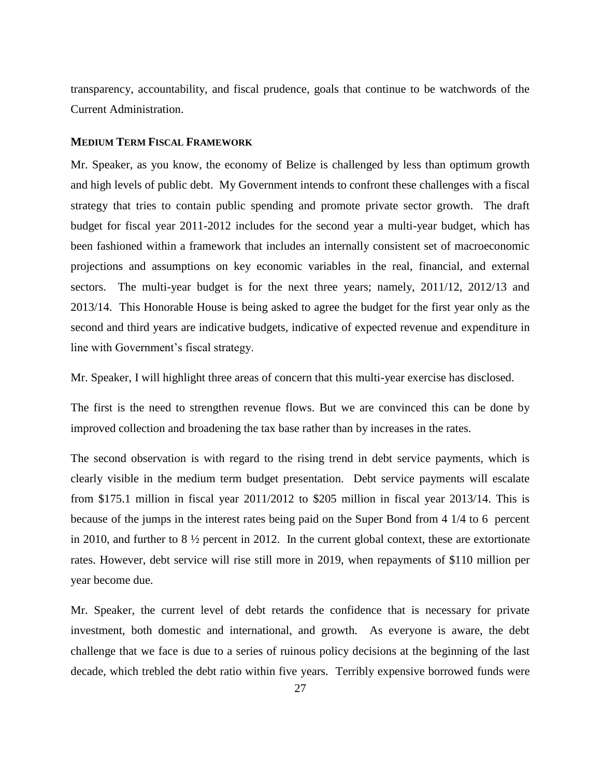transparency, accountability, and fiscal prudence, goals that continue to be watchwords of the Current Administration.

#### **MEDIUM TERM FISCAL FRAMEWORK**

Mr. Speaker, as you know, the economy of Belize is challenged by less than optimum growth and high levels of public debt. My Government intends to confront these challenges with a fiscal strategy that tries to contain public spending and promote private sector growth. The draft budget for fiscal year 2011-2012 includes for the second year a multi-year budget, which has been fashioned within a framework that includes an internally consistent set of macroeconomic projections and assumptions on key economic variables in the real, financial, and external sectors. The multi-year budget is for the next three years; namely, 2011/12, 2012/13 and 2013/14. This Honorable House is being asked to agree the budget for the first year only as the second and third years are indicative budgets, indicative of expected revenue and expenditure in line with Government's fiscal strategy.

Mr. Speaker, I will highlight three areas of concern that this multi-year exercise has disclosed.

The first is the need to strengthen revenue flows. But we are convinced this can be done by improved collection and broadening the tax base rather than by increases in the rates.

The second observation is with regard to the rising trend in debt service payments, which is clearly visible in the medium term budget presentation. Debt service payments will escalate from \$175.1 million in fiscal year 2011/2012 to \$205 million in fiscal year 2013/14. This is because of the jumps in the interest rates being paid on the Super Bond from 4 1/4 to 6 percent in 2010, and further to 8 ½ percent in 2012. In the current global context, these are extortionate rates. However, debt service will rise still more in 2019, when repayments of \$110 million per year become due.

Mr. Speaker, the current level of debt retards the confidence that is necessary for private investment, both domestic and international, and growth. As everyone is aware, the debt challenge that we face is due to a series of ruinous policy decisions at the beginning of the last decade, which trebled the debt ratio within five years. Terribly expensive borrowed funds were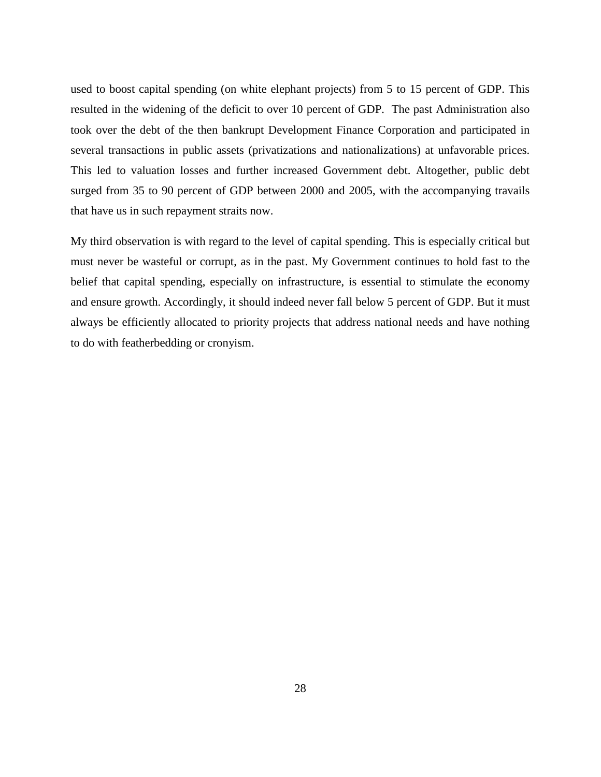used to boost capital spending (on white elephant projects) from 5 to 15 percent of GDP. This resulted in the widening of the deficit to over 10 percent of GDP. The past Administration also took over the debt of the then bankrupt Development Finance Corporation and participated in several transactions in public assets (privatizations and nationalizations) at unfavorable prices. This led to valuation losses and further increased Government debt. Altogether, public debt surged from 35 to 90 percent of GDP between 2000 and 2005, with the accompanying travails that have us in such repayment straits now.

My third observation is with regard to the level of capital spending. This is especially critical but must never be wasteful or corrupt, as in the past. My Government continues to hold fast to the belief that capital spending, especially on infrastructure, is essential to stimulate the economy and ensure growth. Accordingly, it should indeed never fall below 5 percent of GDP. But it must always be efficiently allocated to priority projects that address national needs and have nothing to do with featherbedding or cronyism.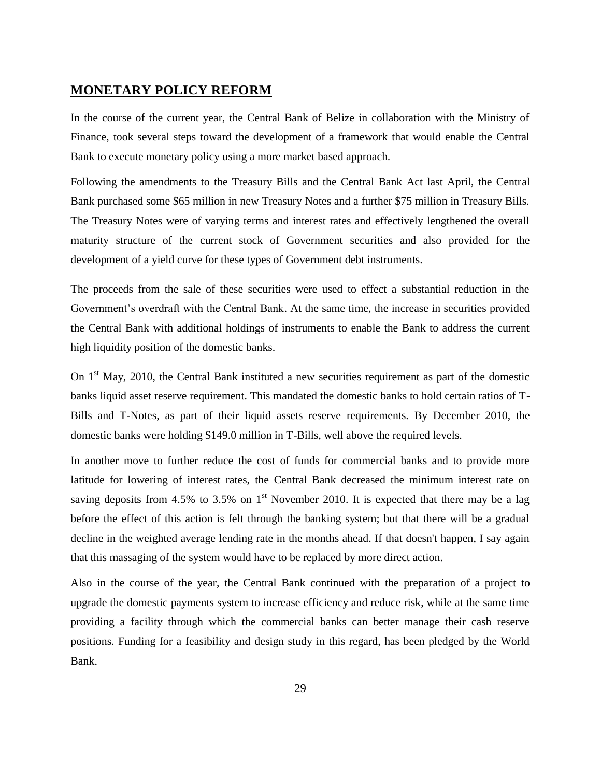### <span id="page-28-0"></span>**MONETARY POLICY REFORM**

<span id="page-28-1"></span>In the course of the current year, the Central Bank of Belize in collaboration with the Ministry of Finance, took several steps toward the development of a framework that would enable the Central Bank to execute monetary policy using a more market based approach.

Following the amendments to the Treasury Bills and the Central Bank Act last April, the Central Bank purchased some \$65 million in new Treasury Notes and a further \$75 million in Treasury Bills. The Treasury Notes were of varying terms and interest rates and effectively lengthened the overall maturity structure of the current stock of Government securities and also provided for the development of a yield curve for these types of Government debt instruments.

The proceeds from the sale of these securities were used to effect a substantial reduction in the Government's overdraft with the Central Bank. At the same time, the increase in securities provided the Central Bank with additional holdings of instruments to enable the Bank to address the current high liquidity position of the domestic banks.

On  $1<sup>st</sup>$  May, 2010, the Central Bank instituted a new securities requirement as part of the domestic banks liquid asset reserve requirement. This mandated the domestic banks to hold certain ratios of T-Bills and T-Notes, as part of their liquid assets reserve requirements. By December 2010, the domestic banks were holding \$149.0 million in T-Bills, well above the required levels.

In another move to further reduce the cost of funds for commercial banks and to provide more latitude for lowering of interest rates, the Central Bank decreased the minimum interest rate on saving deposits from 4.5% to 3.5% on  $1<sup>st</sup>$  November 2010. It is expected that there may be a lag before the effect of this action is felt through the banking system; but that there will be a gradual decline in the weighted average lending rate in the months ahead. If that doesn't happen, I say again that this massaging of the system would have to be replaced by more direct action.

Also in the course of the year, the Central Bank continued with the preparation of a project to upgrade the domestic payments system to increase efficiency and reduce risk, while at the same time providing a facility through which the commercial banks can better manage their cash reserve positions. Funding for a feasibility and design study in this regard, has been pledged by the World Bank.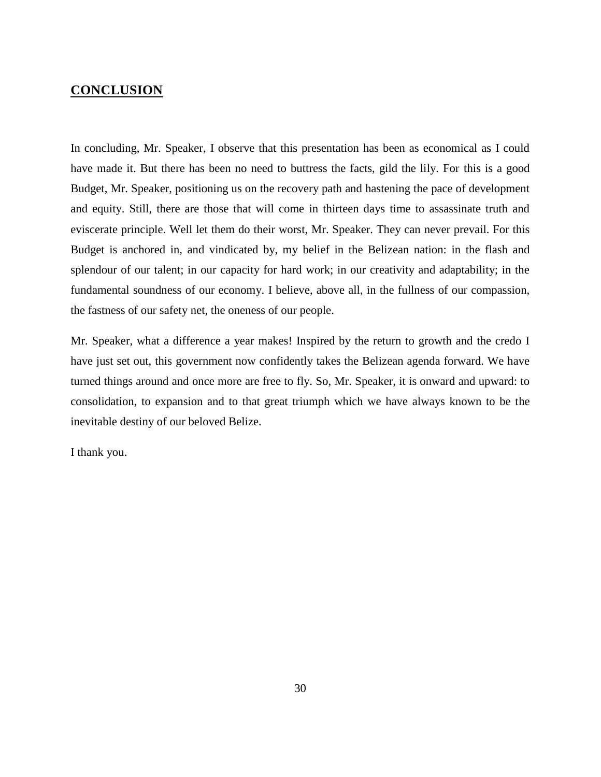## **CONCLUSION**

In concluding, Mr. Speaker, I observe that this presentation has been as economical as I could have made it. But there has been no need to buttress the facts, gild the lily. For this is a good Budget, Mr. Speaker, positioning us on the recovery path and hastening the pace of development and equity. Still, there are those that will come in thirteen days time to assassinate truth and eviscerate principle. Well let them do their worst, Mr. Speaker. They can never prevail. For this Budget is anchored in, and vindicated by, my belief in the Belizean nation: in the flash and splendour of our talent; in our capacity for hard work; in our creativity and adaptability; in the fundamental soundness of our economy. I believe, above all, in the fullness of our compassion, the fastness of our safety net, the oneness of our people.

Mr. Speaker, what a difference a year makes! Inspired by the return to growth and the credo I have just set out, this government now confidently takes the Belizean agenda forward. We have turned things around and once more are free to fly. So, Mr. Speaker, it is onward and upward: to consolidation, to expansion and to that great triumph which we have always known to be the inevitable destiny of our beloved Belize.

I thank you.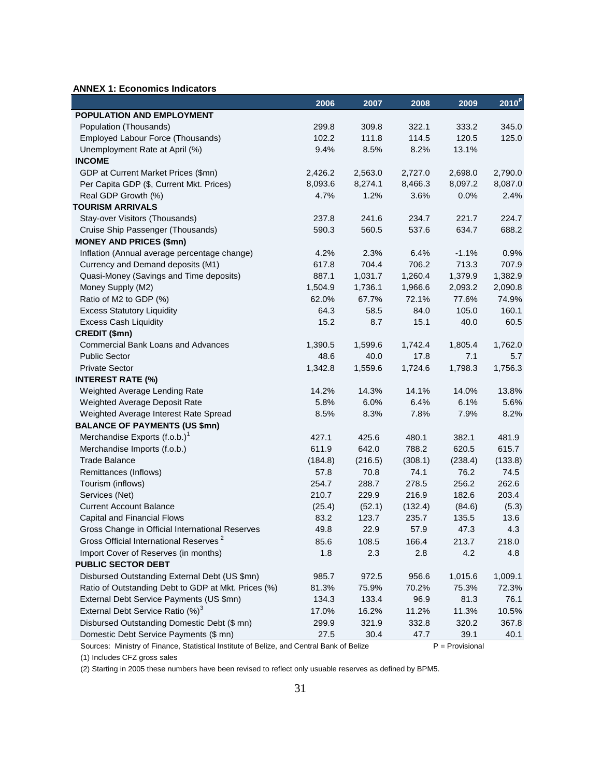#### **ANNEX 1: Economics Indicators**

|                                                     | 2006    | 2007    | 2008    | 2009    | 2010 <sup>P</sup> |
|-----------------------------------------------------|---------|---------|---------|---------|-------------------|
| POPULATION AND EMPLOYMENT                           |         |         |         |         |                   |
| Population (Thousands)                              | 299.8   | 309.8   | 322.1   | 333.2   | 345.0             |
| Employed Labour Force (Thousands)                   | 102.2   | 111.8   | 114.5   | 120.5   | 125.0             |
| Unemployment Rate at April (%)                      | 9.4%    | 8.5%    | 8.2%    | 13.1%   |                   |
| <b>INCOME</b>                                       |         |         |         |         |                   |
| GDP at Current Market Prices (\$mn)                 | 2,426.2 | 2,563.0 | 2,727.0 | 2,698.0 | 2,790.0           |
| Per Capita GDP (\$, Current Mkt. Prices)            | 8,093.6 | 8,274.1 | 8,466.3 | 8,097.2 | 8,087.0           |
| Real GDP Growth (%)                                 | 4.7%    | 1.2%    | 3.6%    | 0.0%    | 2.4%              |
| <b>TOURISM ARRIVALS</b>                             |         |         |         |         |                   |
| Stay-over Visitors (Thousands)                      | 237.8   | 241.6   | 234.7   | 221.7   | 224.7             |
| Cruise Ship Passenger (Thousands)                   | 590.3   | 560.5   | 537.6   | 634.7   | 688.2             |
| <b>MONEY AND PRICES (\$mn)</b>                      |         |         |         |         |                   |
| Inflation (Annual average percentage change)        | 4.2%    | 2.3%    | 6.4%    | $-1.1%$ | 0.9%              |
| Currency and Demand deposits (M1)                   | 617.8   | 704.4   | 706.2   | 713.3   | 707.9             |
| Quasi-Money (Savings and Time deposits)             | 887.1   | 1,031.7 | 1,260.4 | 1,379.9 | 1,382.9           |
| Money Supply (M2)                                   | 1,504.9 | 1,736.1 | 1,966.6 | 2,093.2 | 2,090.8           |
| Ratio of M2 to GDP (%)                              | 62.0%   | 67.7%   | 72.1%   | 77.6%   | 74.9%             |
| <b>Excess Statutory Liquidity</b>                   | 64.3    | 58.5    | 84.0    | 105.0   | 160.1             |
| <b>Excess Cash Liquidity</b>                        | 15.2    | 8.7     | 15.1    | 40.0    | 60.5              |
| CREDIT (\$mn)                                       |         |         |         |         |                   |
| <b>Commercial Bank Loans and Advances</b>           | 1,390.5 | 1,599.6 | 1,742.4 | 1,805.4 | 1,762.0           |
| <b>Public Sector</b>                                | 48.6    | 40.0    | 17.8    | 7.1     | 5.7               |
| <b>Private Sector</b>                               | 1,342.8 | 1,559.6 | 1,724.6 | 1,798.3 | 1,756.3           |
| <b>INTEREST RATE (%)</b>                            |         |         |         |         |                   |
| Weighted Average Lending Rate                       | 14.2%   | 14.3%   | 14.1%   | 14.0%   | 13.8%             |
| Weighted Average Deposit Rate                       | 5.8%    | 6.0%    | 6.4%    | 6.1%    | 5.6%              |
| Weighted Average Interest Rate Spread               | 8.5%    | 8.3%    | 7.8%    | 7.9%    | 8.2%              |
| <b>BALANCE OF PAYMENTS (US \$mn)</b>                |         |         |         |         |                   |
| Merchandise Exports (f.o.b.) <sup>1</sup>           | 427.1   | 425.6   | 480.1   | 382.1   | 481.9             |
| Merchandise Imports (f.o.b.)                        | 611.9   | 642.0   | 788.2   | 620.5   | 615.7             |
| <b>Trade Balance</b>                                | (184.8) | (216.5) | (308.1) | (238.4) | (133.8)           |
| Remittances (Inflows)                               | 57.8    | 70.8    | 74.1    | 76.2    | 74.5              |
| Tourism (inflows)                                   | 254.7   | 288.7   | 278.5   | 256.2   | 262.6             |
| Services (Net)                                      | 210.7   | 229.9   | 216.9   | 182.6   | 203.4             |
| <b>Current Account Balance</b>                      | (25.4)  | (52.1)  | (132.4) | (84.6)  | (5.3)             |
| Capital and Financial Flows                         | 83.2    | 123.7   | 235.7   | 135.5   | 13.6              |
| Gross Change in Official International Reserves     | 49.8    | 22.9    | 57.9    | 47.3    | 4.3               |
| Gross Official International Reserves <sup>2</sup>  | 85.6    | 108.5   | 166.4   | 213.7   | 218.0             |
| Import Cover of Reserves (in months)                | 1.8     | 2.3     | 2.8     | 4.2     | 4.8               |
| <b>PUBLIC SECTOR DEBT</b>                           |         |         |         |         |                   |
| Disbursed Outstanding External Debt (US \$mn)       | 985.7   | 972.5   | 956.6   | 1,015.6 | 1,009.1           |
| Ratio of Outstanding Debt to GDP at Mkt. Prices (%) | 81.3%   | 75.9%   | 70.2%   | 75.3%   | 72.3%             |
| External Debt Service Payments (US \$mn)            | 134.3   | 133.4   | 96.9    | 81.3    | 76.1              |
| External Debt Service Ratio (%) <sup>3</sup>        | 17.0%   | 16.2%   | 11.2%   | 11.3%   | 10.5%             |
| Disbursed Outstanding Domestic Debt (\$ mn)         | 299.9   | 321.9   | 332.8   | 320.2   | 367.8             |
| Domestic Debt Service Payments (\$ mn)              | 27.5    | 30.4    | 47.7    | 39.1    | 40.1              |

Sources: Ministry of Finance, Statistical Institute of Belize, and Central Bank of Belize P = Provisional

(1) Includes CFZ gross sales

(2) Starting in 2005 these numbers have been revised to reflect only usuable reserves as defined by BPM5.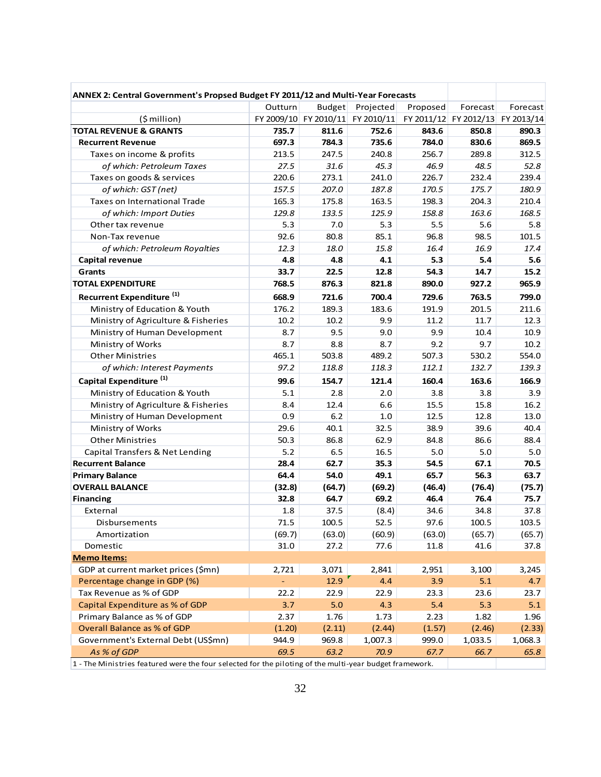| ANNEX 2: Central Government's Propsed Budget FY 2011/12 and Multi-Year Forecasts                        |         |                                  |           |          |                       |            |
|---------------------------------------------------------------------------------------------------------|---------|----------------------------------|-----------|----------|-----------------------|------------|
|                                                                                                         | Outturn | <b>Budget</b>                    | Projected | Proposed | Forecast              | Forecast   |
| (\$ million)                                                                                            |         | FY 2009/10 FY 2010/11 FY 2010/11 |           |          | FY 2011/12 FY 2012/13 | FY 2013/14 |
| <b>TOTAL REVENUE &amp; GRANTS</b>                                                                       | 735.7   | 811.6                            | 752.6     | 843.6    | 850.8                 | 890.3      |
| <b>Recurrent Revenue</b>                                                                                | 697.3   | 784.3                            | 735.6     | 784.0    | 830.6                 | 869.5      |
| Taxes on income & profits                                                                               | 213.5   | 247.5                            | 240.8     | 256.7    | 289.8                 | 312.5      |
| of which: Petroleum Taxes                                                                               | 27.5    | 31.6                             | 45.3      | 46.9     | 48.5                  | 52.8       |
| Taxes on goods & services                                                                               | 220.6   | 273.1                            | 241.0     | 226.7    | 232.4                 | 239.4      |
| of which: GST (net)                                                                                     | 157.5   | 207.0                            | 187.8     | 170.5    | 175.7                 | 180.9      |
| Taxes on International Trade                                                                            | 165.3   | 175.8                            | 163.5     | 198.3    | 204.3                 | 210.4      |
| of which: Import Duties                                                                                 | 129.8   | 133.5                            | 125.9     | 158.8    | 163.6                 | 168.5      |
| Other tax revenue                                                                                       | 5.3     | 7.0                              | 5.3       | 5.5      | 5.6                   | 5.8        |
| Non-Tax revenue                                                                                         | 92.6    | 80.8                             | 85.1      | 96.8     | 98.5                  | 101.5      |
| of which: Petroleum Royalties                                                                           | 12.3    | 18.0                             | 15.8      | 16.4     | 16.9                  | 17.4       |
| <b>Capital revenue</b>                                                                                  | 4.8     | 4.8                              | 4.1       | 5.3      | 5.4                   | 5.6        |
| Grants                                                                                                  | 33.7    | 22.5                             | 12.8      | 54.3     | 14.7                  | 15.2       |
| <b>TOTAL EXPENDITURE</b>                                                                                | 768.5   | 876.3                            | 821.8     | 890.0    | 927.2                 | 965.9      |
| Recurrent Expenditure <sup>(1)</sup>                                                                    | 668.9   | 721.6                            | 700.4     | 729.6    | 763.5                 | 799.0      |
| Ministry of Education & Youth                                                                           | 176.2   | 189.3                            | 183.6     | 191.9    | 201.5                 | 211.6      |
| Ministry of Agriculture & Fisheries                                                                     | 10.2    | 10.2                             | 9.9       | 11.2     | 11.7                  | 12.3       |
| Ministry of Human Development                                                                           | 8.7     | 9.5                              | 9.0       | 9.9      | 10.4                  | 10.9       |
| Ministry of Works                                                                                       | 8.7     | 8.8                              | 8.7       | 9.2      | 9.7                   | 10.2       |
| <b>Other Ministries</b>                                                                                 | 465.1   | 503.8                            | 489.2     | 507.3    | 530.2                 | 554.0      |
| of which: Interest Payments                                                                             | 97.2    | 118.8                            | 118.3     | 112.1    | 132.7                 | 139.3      |
| Capital Expenditure <sup>(1)</sup>                                                                      | 99.6    | 154.7                            | 121.4     | 160.4    | 163.6                 | 166.9      |
| Ministry of Education & Youth                                                                           | 5.1     | 2.8                              | 2.0       | 3.8      | 3.8                   | 3.9        |
| Ministry of Agriculture & Fisheries                                                                     | 8.4     | 12.4                             | 6.6       | 15.5     | 15.8                  | 16.2       |
| Ministry of Human Development                                                                           | 0.9     | 6.2                              | 1.0       | 12.5     | 12.8                  | 13.0       |
| Ministry of Works                                                                                       | 29.6    | 40.1                             | 32.5      | 38.9     | 39.6                  | 40.4       |
| <b>Other Ministries</b>                                                                                 | 50.3    | 86.8                             | 62.9      | 84.8     | 86.6                  | 88.4       |
| Capital Transfers & Net Lending                                                                         | 5.2     | 6.5                              | 16.5      | 5.0      | 5.0                   | 5.0        |
| <b>Recurrent Balance</b>                                                                                | 28.4    | 62.7                             | 35.3      | 54.5     | 67.1                  | 70.5       |
| <b>Primary Balance</b>                                                                                  | 64.4    | 54.0                             | 49.1      | 65.7     | 56.3                  | 63.7       |
| <b>OVERALL BALANCE</b>                                                                                  | (32.8)  | (64.7)                           | (69.2)    | (46.4)   | (76.4)                | (75.7)     |
| <b>Financing</b>                                                                                        | 32.8    | 64.7                             | 69.2      | 46.4     | 76.4                  | 75.7       |
| External                                                                                                | 1.8     | 37.5                             | (8.4)     | 34.6     | 34.8                  | 37.8       |
| Disbursements                                                                                           | 71.5    | 100.5                            | 52.5      | 97.6     | 100.5                 | 103.5      |
| Amortization                                                                                            | (69.7)  | (63.0)                           | (60.9)    | (63.0)   | (65.7)                | (65.7)     |
| Domestic                                                                                                | 31.0    | 27.2                             | 77.6      | 11.8     | 41.6                  | 37.8       |
| <b>Memo Items:</b>                                                                                      |         |                                  |           |          |                       |            |
| GDP at current market prices (\$mn)                                                                     | 2,721   | 3,071                            | 2,841     | 2,951    | 3,100                 | 3,245      |
| Percentage change in GDP (%)                                                                            |         | 12.9                             | 4.4       | 3.9      | 5.1                   | 4.7        |
| Tax Revenue as % of GDP                                                                                 | 22.2    | 22.9                             | 22.9      | 23.3     | 23.6                  | 23.7       |
| Capital Expenditure as % of GDP                                                                         | 3.7     | 5.0                              | 4.3       | 5.4      | 5.3                   | 5.1        |
| Primary Balance as % of GDP                                                                             | 2.37    | 1.76                             | 1.73      | 2.23     | 1.82                  | 1.96       |
| Overall Balance as % of GDP                                                                             | (1.20)  | (2.11)                           | (2.44)    | (1.57)   | (2.46)                | (2.33)     |
| Government's External Debt (US\$mn)                                                                     | 944.9   | 969.8                            | 1,007.3   | 999.0    | 1,033.5               | 1,068.3    |
| As % of GDP                                                                                             | 69.5    | 63.2                             | 70.9      | 67.7     | 66.7                  | 65.8       |
| 1 - The Ministries featured were the four selected for the piloting of the multi-year budget framework. |         |                                  |           |          |                       |            |

1 - The Ministries featured were the four selected for the piloting of the multi-year budget framework.